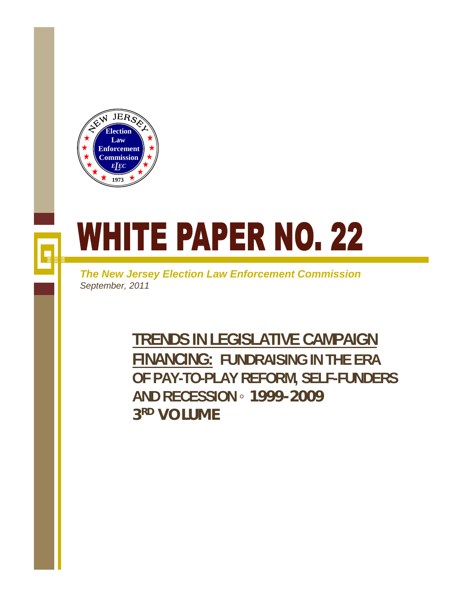

# **WHITE PAPER NO. 22**

*The New Jersey Election Law Enforcement Commission September, 2011*

> **TRENDS IN LEGISLATIVE CAMPAIGN FINANCING: FUNDRAISING IN THE ERA OF PAY-TO-PLAY REFORM, SELF-FUNDERS AND RECESSION ◦ 1999-2009 3RD VOLUME**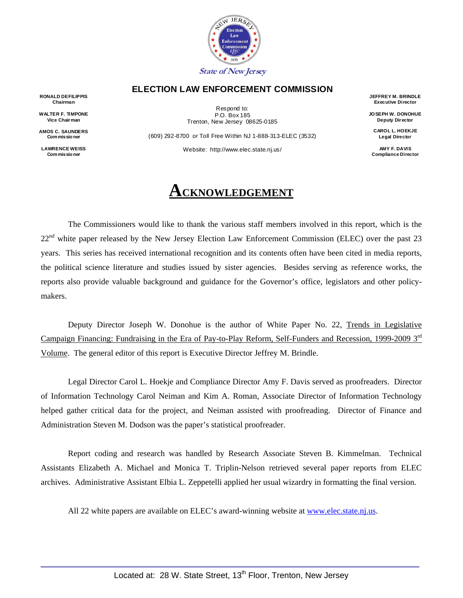

#### **ELECTION LAW ENFORCEMENT COMMISSION**

**RONALD DEFILIPPIS Chairman** 

**WALTER F. TIMPONE Vice Chairman** 

**AMOS C. SAUNDERS Commissio ner** 

**LAWRENCE WEISS Commissio ner** 

Respond to: P.O. Box 185 Trenton, New Jersey 08625-0185

(609) 292-8700 or Toll Free Within NJ 1-888-313-ELEC (3532) Website: http://www.elec.state.nj.us/

# **ACKNOWLEDGEMENT**

The Commissioners would like to thank the various staff members involved in this report, which is the 22<sup>nd</sup> white paper released by the New Jersey Election Law Enforcement Commission (ELEC) over the past 23 years. This series has received international recognition and its contents often have been cited in media reports, the political science literature and studies issued by sister agencies. Besides serving as reference works, the reports also provide valuable background and guidance for the Governor's office, legislators and other policymakers.

Deputy Director Joseph W. Donohue is the author of White Paper No. 22, Trends in Legislative Campaign Financing: Fundraising in the Era of Pay-to-Play Reform, Self-Funders and Recession, 1999-2009 3rd Volume. The general editor of this report is Executive Director Jeffrey M. Brindle.

Legal Director Carol L. Hoekje and Compliance Director Amy F. Davis served as proofreaders. Director of Information Technology Carol Neiman and Kim A. Roman, Associate Director of Information Technology helped gather critical data for the project, and Neiman assisted with proofreading. Director of Finance and Administration Steven M. Dodson was the paper's statistical proofreader.

Report coding and research was handled by Research Associate Steven B. Kimmelman. Technical Assistants Elizabeth A. Michael and Monica T. Triplin-Nelson retrieved several paper reports from ELEC archives. Administrative Assistant Elbia L. Zeppetelli applied her usual wizardry in formatting the final version.

All 22 white papers are available on ELEC's award-winning website at www.elec.state.nj.us.

**JEFFREY M. BRINDLE Executive Director** 

**JOSEPH W. DONOHUE Deputy Director** 

**CAROL L. HOEKJE Legal Director** 

**AMY F. DAVIS Compliance Director**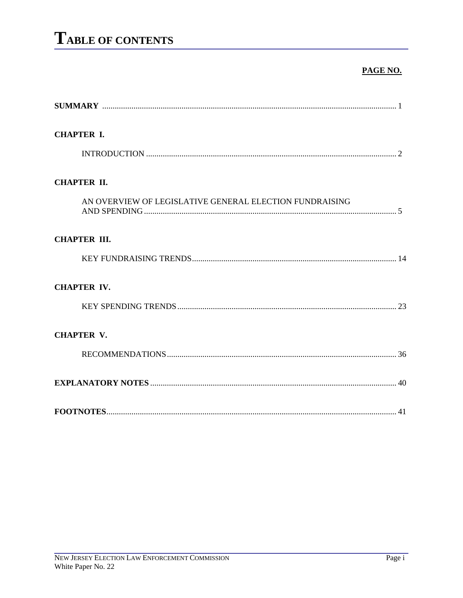#### PAGE NO.

| <b>CHAPTER I.</b>                                       |
|---------------------------------------------------------|
|                                                         |
| <b>CHAPTER II.</b>                                      |
| AN OVERVIEW OF LEGISLATIVE GENERAL ELECTION FUNDRAISING |
| <b>CHAPTER III.</b>                                     |
|                                                         |
| <b>CHAPTER IV.</b>                                      |
|                                                         |
| <b>CHAPTER V.</b>                                       |
|                                                         |
|                                                         |
|                                                         |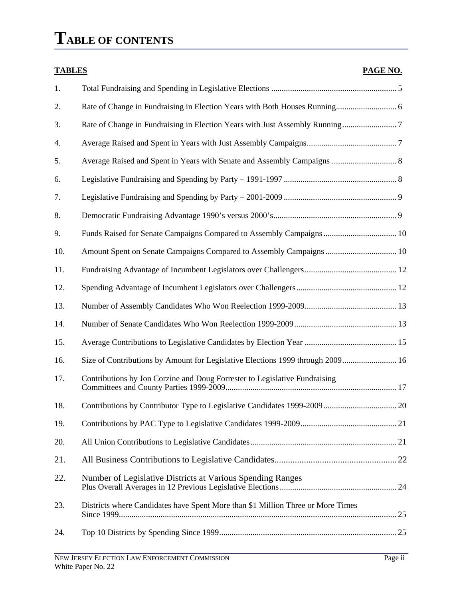# **TABLE OF CONTENTS**

| <b>TABLES</b> |                                                                                 | PAGE NO. |
|---------------|---------------------------------------------------------------------------------|----------|
| 1.            |                                                                                 |          |
| 2.            |                                                                                 |          |
| 3.            |                                                                                 |          |
| 4.            |                                                                                 |          |
| 5.            | Average Raised and Spent in Years with Senate and Assembly Campaigns  8         |          |
| 6.            |                                                                                 |          |
| 7.            |                                                                                 |          |
| 8.            |                                                                                 |          |
| 9.            | Funds Raised for Senate Campaigns Compared to Assembly Campaigns  10            |          |
| 10.           | Amount Spent on Senate Campaigns Compared to Assembly Campaigns  10             |          |
| 11.           |                                                                                 |          |
| 12.           |                                                                                 |          |
| 13.           |                                                                                 |          |
| 14.           |                                                                                 |          |
| 15.           |                                                                                 |          |
| 16.           | Size of Contributions by Amount for Legislative Elections 1999 through 2009 16  |          |
| 17.           | Contributions by Jon Corzine and Doug Forrester to Legislative Fundraising      |          |
| 18.           |                                                                                 |          |
| 19.           |                                                                                 |          |
| 20.           |                                                                                 |          |
| 21.           |                                                                                 |          |
| 22.           | Number of Legislative Districts at Various Spending Ranges                      |          |
| 23.           | Districts where Candidates have Spent More than \$1 Million Three or More Times |          |
| 24.           |                                                                                 |          |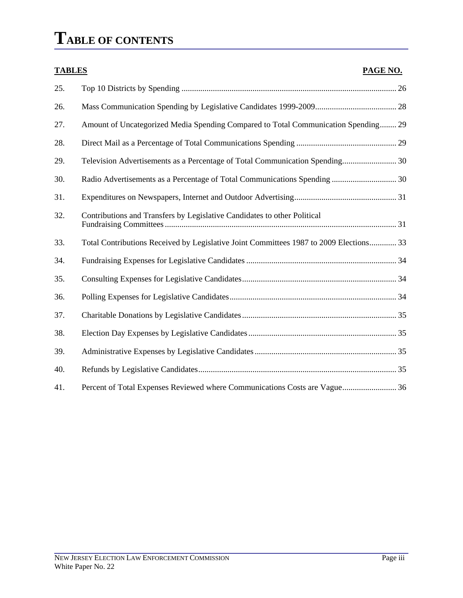# **TABLE OF CONTENTS**

| <b>TABLES</b> | PAGE NO.                                                                               |
|---------------|----------------------------------------------------------------------------------------|
| 25.           |                                                                                        |
| 26.           |                                                                                        |
| 27.           | Amount of Uncategorized Media Spending Compared to Total Communication Spending 29     |
| 28.           |                                                                                        |
| 29.           | Television Advertisements as a Percentage of Total Communication Spending 30           |
| 30.           | Radio Advertisements as a Percentage of Total Communications Spending  30              |
| 31.           |                                                                                        |
| 32.           | Contributions and Transfers by Legislative Candidates to other Political               |
| 33.           | Total Contributions Received by Legislative Joint Committees 1987 to 2009 Elections 33 |
| 34.           |                                                                                        |
| 35.           |                                                                                        |
| 36.           |                                                                                        |
| 37.           |                                                                                        |
| 38.           |                                                                                        |
| 39.           |                                                                                        |
| 40.           |                                                                                        |
| 41.           | Percent of Total Expenses Reviewed where Communications Costs are Vague 36             |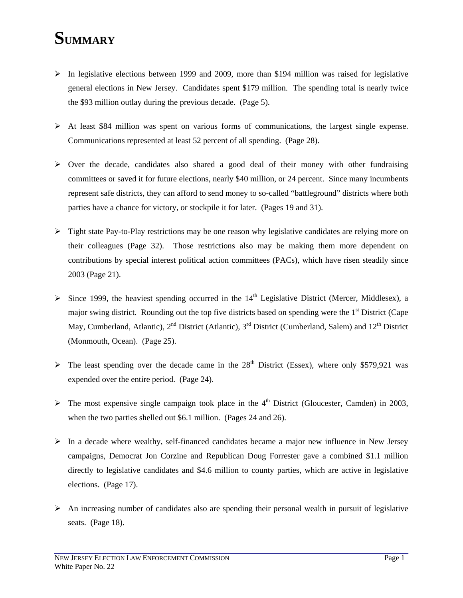- $\triangleright$  In legislative elections between 1999 and 2009, more than \$194 million was raised for legislative general elections in New Jersey. Candidates spent \$179 million. The spending total is nearly twice the \$93 million outlay during the previous decade. (Page 5).
- $\triangleright$  At least \$84 million was spent on various forms of communications, the largest single expense. Communications represented at least 52 percent of all spending. (Page 28).
- $\triangleright$  Over the decade, candidates also shared a good deal of their money with other fundraising committees or saved it for future elections, nearly \$40 million, or 24 percent. Since many incumbents represent safe districts, they can afford to send money to so-called "battleground" districts where both parties have a chance for victory, or stockpile it for later. (Pages 19 and 31).
- $\triangleright$  Tight state Pay-to-Play restrictions may be one reason why legislative candidates are relying more on their colleagues (Page 32). Those restrictions also may be making them more dependent on contributions by special interest political action committees (PACs), which have risen steadily since 2003 (Page 21).
- $\triangleright$  Since 1999, the heaviest spending occurred in the 14<sup>th</sup> Legislative District (Mercer, Middlesex), a major swing district. Rounding out the top five districts based on spending were the  $1<sup>st</sup>$  District (Cape May, Cumberland, Atlantic),  $2^{nd}$  District (Atlantic),  $3^{rd}$  District (Cumberland, Salem) and  $12^{th}$  District (Monmouth, Ocean). (Page 25).
- $\triangleright$  The least spending over the decade came in the 28<sup>th</sup> District (Essex), where only \$579,921 was expended over the entire period. (Page 24).
- $\triangleright$  The most expensive single campaign took place in the 4<sup>th</sup> District (Gloucester, Camden) in 2003, when the two parties shelled out \$6.1 million. (Pages 24 and 26).
- $\triangleright$  In a decade where wealthy, self-financed candidates became a major new influence in New Jersey campaigns, Democrat Jon Corzine and Republican Doug Forrester gave a combined \$1.1 million directly to legislative candidates and \$4.6 million to county parties, which are active in legislative elections. (Page 17).
- $\triangleright$  An increasing number of candidates also are spending their personal wealth in pursuit of legislative seats. (Page 18).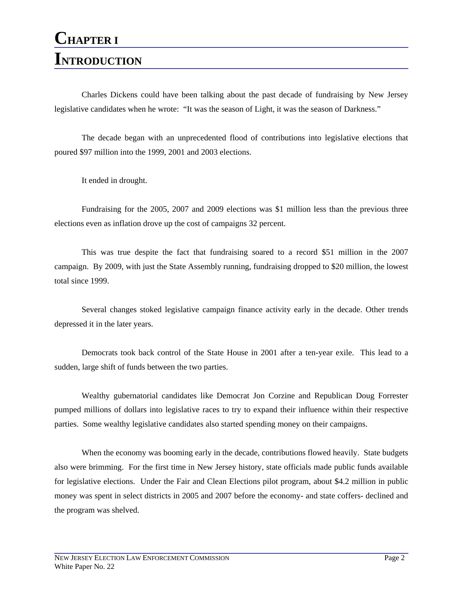Charles Dickens could have been talking about the past decade of fundraising by New Jersey legislative candidates when he wrote: "It was the season of Light, it was the season of Darkness."

The decade began with an unprecedented flood of contributions into legislative elections that poured \$97 million into the 1999, 2001 and 2003 elections.

It ended in drought.

Fundraising for the 2005, 2007 and 2009 elections was \$1 million less than the previous three elections even as inflation drove up the cost of campaigns 32 percent.

This was true despite the fact that fundraising soared to a record \$51 million in the 2007 campaign. By 2009, with just the State Assembly running, fundraising dropped to \$20 million, the lowest total since 1999.

Several changes stoked legislative campaign finance activity early in the decade. Other trends depressed it in the later years.

Democrats took back control of the State House in 2001 after a ten-year exile. This lead to a sudden, large shift of funds between the two parties.

Wealthy gubernatorial candidates like Democrat Jon Corzine and Republican Doug Forrester pumped millions of dollars into legislative races to try to expand their influence within their respective parties. Some wealthy legislative candidates also started spending money on their campaigns.

When the economy was booming early in the decade, contributions flowed heavily. State budgets also were brimming. For the first time in New Jersey history, state officials made public funds available for legislative elections. Under the Fair and Clean Elections pilot program, about \$4.2 million in public money was spent in select districts in 2005 and 2007 before the economy- and state coffers- declined and the program was shelved.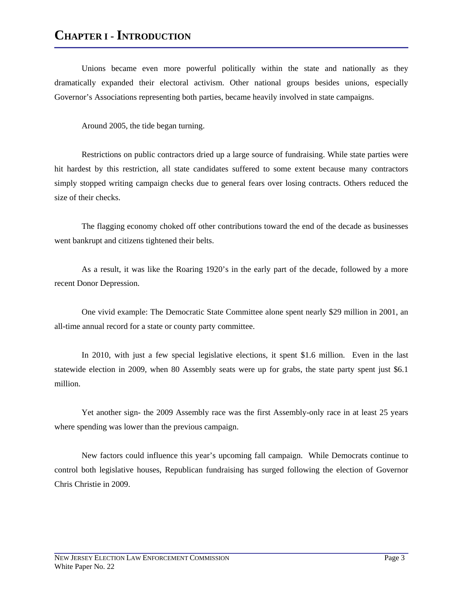# **CHAPTER I - INTRODUCTION**

Unions became even more powerful politically within the state and nationally as they dramatically expanded their electoral activism. Other national groups besides unions, especially Governor's Associations representing both parties, became heavily involved in state campaigns.

Around 2005, the tide began turning.

Restrictions on public contractors dried up a large source of fundraising. While state parties were hit hardest by this restriction, all state candidates suffered to some extent because many contractors simply stopped writing campaign checks due to general fears over losing contracts. Others reduced the size of their checks.

The flagging economy choked off other contributions toward the end of the decade as businesses went bankrupt and citizens tightened their belts.

As a result, it was like the Roaring 1920's in the early part of the decade, followed by a more recent Donor Depression.

One vivid example: The Democratic State Committee alone spent nearly \$29 million in 2001, an all-time annual record for a state or county party committee.

In 2010, with just a few special legislative elections, it spent \$1.6 million. Even in the last statewide election in 2009, when 80 Assembly seats were up for grabs, the state party spent just \$6.1 million.

Yet another sign- the 2009 Assembly race was the first Assembly-only race in at least 25 years where spending was lower than the previous campaign.

New factors could influence this year's upcoming fall campaign. While Democrats continue to control both legislative houses, Republican fundraising has surged following the election of Governor Chris Christie in 2009.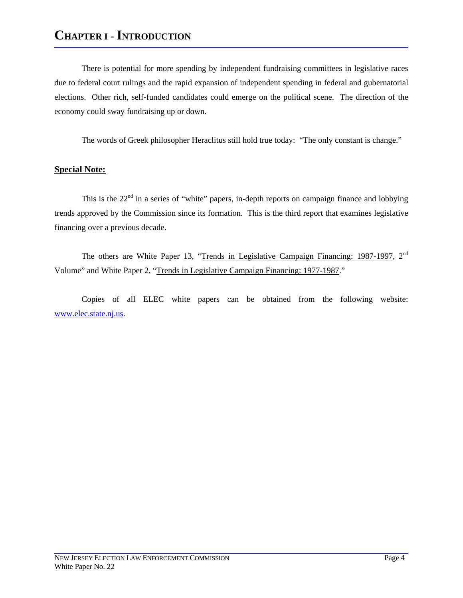There is potential for more spending by independent fundraising committees in legislative races due to federal court rulings and the rapid expansion of independent spending in federal and gubernatorial elections. Other rich, self-funded candidates could emerge on the political scene. The direction of the economy could sway fundraising up or down.

The words of Greek philosopher Heraclitus still hold true today: "The only constant is change."

#### **Special Note:**

This is the  $22<sup>nd</sup>$  in a series of "white" papers, in-depth reports on campaign finance and lobbying trends approved by the Commission since its formation. This is the third report that examines legislative financing over a previous decade.

The others are White Paper 13, "Trends in Legislative Campaign Financing: 1987-1997,  $2<sup>nd</sup>$ Volume" and White Paper 2, "Trends in Legislative Campaign Financing: 1977-1987."

Copies of all ELEC white papers can be obtained from the following website: www.elec.state.nj.us.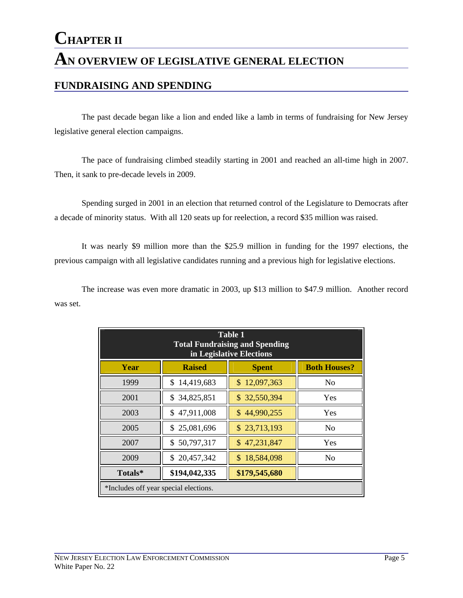The past decade began like a lion and ended like a lamb in terms of fundraising for New Jersey legislative general election campaigns.

The pace of fundraising climbed steadily starting in 2001 and reached an all-time high in 2007. Then, it sank to pre-decade levels in 2009.

Spending surged in 2001 in an election that returned control of the Legislature to Democrats after a decade of minority status. With all 120 seats up for reelection, a record \$35 million was raised.

It was nearly \$9 million more than the \$25.9 million in funding for the 1997 elections, the previous campaign with all legislative candidates running and a previous high for legislative elections.

The increase was even more dramatic in 2003, up \$13 million to \$47.9 million. Another record was set.

| <b>Table 1</b><br><b>Total Fundraising and Spending</b><br>in Legislative Elections |                                                    |              |                     |  |  |  |  |
|-------------------------------------------------------------------------------------|----------------------------------------------------|--------------|---------------------|--|--|--|--|
| Year                                                                                | <b>Raised</b>                                      | <b>Spent</b> | <b>Both Houses?</b> |  |  |  |  |
| 1999                                                                                | 14,419,683<br>\$                                   | \$12,097,363 | N <sub>0</sub>      |  |  |  |  |
| 2001                                                                                | \$34,825,851                                       | \$32,550,394 | Yes                 |  |  |  |  |
| 2003                                                                                | 47,911,008<br>\$                                   | \$44,990,255 | Yes                 |  |  |  |  |
| 2005                                                                                | 25,081,696<br>\$.                                  | \$23,713,193 | N <sub>0</sub>      |  |  |  |  |
| 2007                                                                                | \$50,797,317                                       | \$47,231,847 | Yes                 |  |  |  |  |
| 2009                                                                                | \$20,457,342<br>\$<br>18,584,098<br>N <sub>o</sub> |              |                     |  |  |  |  |
| \$194,042,335<br>\$179,545,680<br>Totals*                                           |                                                    |              |                     |  |  |  |  |
|                                                                                     | *Includes off year special elections.              |              |                     |  |  |  |  |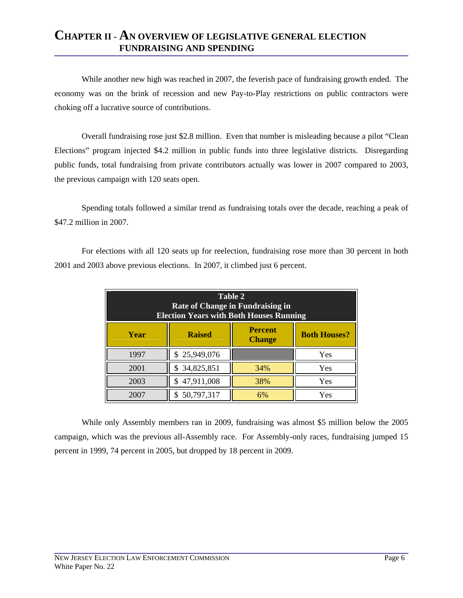While another new high was reached in 2007, the feverish pace of fundraising growth ended. The economy was on the brink of recession and new Pay-to-Play restrictions on public contractors were choking off a lucrative source of contributions.

Overall fundraising rose just \$2.8 million. Even that number is misleading because a pilot "Clean Elections" program injected \$4.2 million in public funds into three legislative districts. Disregarding public funds, total fundraising from private contributors actually was lower in 2007 compared to 2003, the previous campaign with 120 seats open.

Spending totals followed a similar trend as fundraising totals over the decade, reaching a peak of \$47.2 million in 2007.

For elections with all 120 seats up for reelection, fundraising rose more than 30 percent in both 2001 and 2003 above previous elections. In 2007, it climbed just 6 percent.

| Table 2<br>Rate of Change in Fundraising in<br><b>Election Years with Both Houses Running</b> |                     |     |     |  |  |  |
|-----------------------------------------------------------------------------------------------|---------------------|-----|-----|--|--|--|
| Year                                                                                          | <b>Both Houses?</b> |     |     |  |  |  |
| 1997                                                                                          | \$25,949,076        |     | Yes |  |  |  |
| 2001                                                                                          | \$34,825,851        | 34% | Yes |  |  |  |
| 2003                                                                                          | \$47,911,008        | 38% | Yes |  |  |  |
| 2007                                                                                          | \$50,797,317        | 6%  | Yes |  |  |  |

While only Assembly members ran in 2009, fundraising was almost \$5 million below the 2005 campaign, which was the previous all-Assembly race. For Assembly-only races, fundraising jumped 15 percent in 1999, 74 percent in 2005, but dropped by 18 percent in 2009.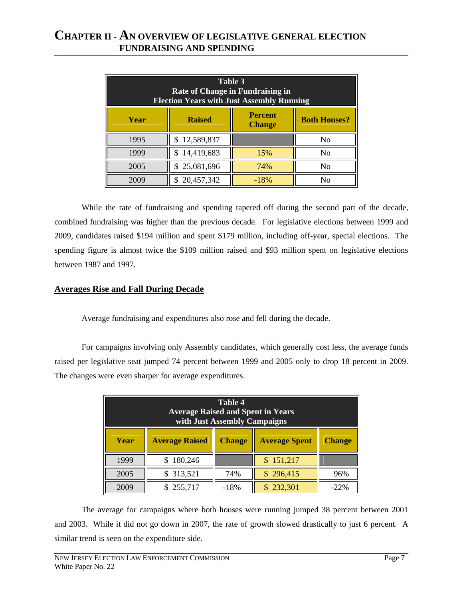| Table 3<br><b>Rate of Change in Fundraising in</b><br><b>Election Years with Just Assembly Running</b> |                     |        |                |  |  |  |
|--------------------------------------------------------------------------------------------------------|---------------------|--------|----------------|--|--|--|
| Year                                                                                                   | <b>Both Houses?</b> |        |                |  |  |  |
| 1995                                                                                                   | 12,589,837          |        | No             |  |  |  |
| 1999                                                                                                   | 14,419,683          | 15%    | N <sub>0</sub> |  |  |  |
| 2005                                                                                                   | \$25,081,696        | 74%    | No             |  |  |  |
| 2009                                                                                                   | 20,457,342          | $-18%$ | Nο             |  |  |  |

While the rate of fundraising and spending tapered off during the second part of the decade, combined fundraising was higher than the previous decade. For legislative elections between 1999 and 2009, candidates raised \$194 million and spent \$179 million, including off-year, special elections. The spending figure is almost twice the \$109 million raised and \$93 million spent on legislative elections between 1987 and 1997.

#### **Averages Rise and Fall During Decade**

Average fundraising and expenditures also rose and fell during the decade.

For campaigns involving only Assembly candidates, which generally cost less, the average funds raised per legislative seat jumped 74 percent between 1999 and 2005 only to drop 18 percent in 2009. The changes were even sharper for average expenditures.

| Table 4<br><b>Average Raised and Spent in Years</b><br>with Just Assembly Campaigns     |         |        |           |        |  |
|-----------------------------------------------------------------------------------------|---------|--------|-----------|--------|--|
| <b>Average Raised</b><br><b>Average Spent</b><br>Year<br><b>Change</b><br><b>Change</b> |         |        |           |        |  |
| 1999                                                                                    | 180,246 |        | \$151,217 |        |  |
| 2005                                                                                    | 313,521 | 74%    | \$296,415 | 96%    |  |
| 2009                                                                                    | 255,717 | $-18%$ | \$232,301 | $-22%$ |  |

The average for campaigns where both houses were running jumped 38 percent between 2001 and 2003. While it did not go down in 2007, the rate of growth slowed drastically to just 6 percent. A similar trend is seen on the expenditure side.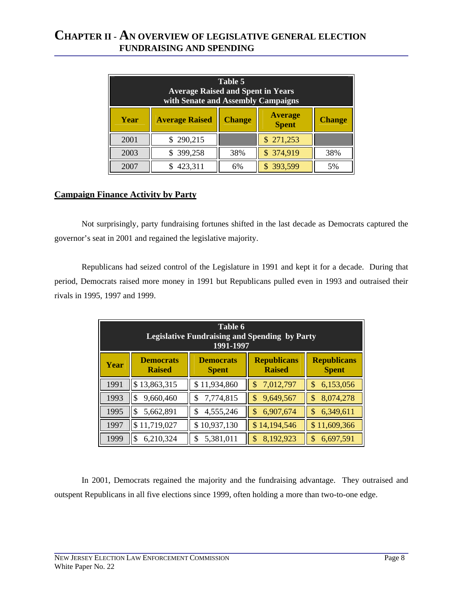| Table 5<br><b>Average Raised and Spent in Years</b><br>with Senate and Assembly Campaigns |                       |                                |               |     |  |  |
|-------------------------------------------------------------------------------------------|-----------------------|--------------------------------|---------------|-----|--|--|
| Year                                                                                      | <b>Average Raised</b> | <b>Average</b><br><b>Spent</b> | <b>Change</b> |     |  |  |
| 2001                                                                                      | \$290,215             |                                | \$271,253     |     |  |  |
| 2003                                                                                      | \$399,258             | 38%                            | \$374,919     | 38% |  |  |
| 2007                                                                                      | 423,311               | 6%                             | \$393,599     | 5%  |  |  |

#### **Campaign Finance Activity by Party**

Not surprisingly, party fundraising fortunes shifted in the last decade as Democrats captured the governor's seat in 2001 and regained the legislative majority.

Republicans had seized control of the Legislature in 1991 and kept it for a decade. During that period, Democrats raised more money in 1991 but Republicans pulled even in 1993 and outraised their rivals in 1995, 1997 and 1999.

| Table 6<br><b>Legislative Fundraising and Spending by Party</b><br>1991-1997                                                                                      |                 |                 |                 |                 |  |  |
|-------------------------------------------------------------------------------------------------------------------------------------------------------------------|-----------------|-----------------|-----------------|-----------------|--|--|
| <b>Democrats</b><br><b>Republicans</b><br><b>Republicans</b><br><b>Democrats</b><br><b>Year</b><br><b>Raised</b><br><b>Raised</b><br><b>Spent</b><br><b>Spent</b> |                 |                 |                 |                 |  |  |
| 1991                                                                                                                                                              | \$13,863,315    | \$11,934,860    | 7,012,797<br>\$ | \$<br>6,153,056 |  |  |
| 1993                                                                                                                                                              | \$<br>9,660,460 | 7,774,815<br>\$ | 9,649,567       | \$<br>8,074,278 |  |  |
| 1995                                                                                                                                                              | 5,662,891<br>\$ | 4,555,246<br>\$ | 6,907,674       | \$<br>6,349,611 |  |  |
| 1997<br>\$11,719,027<br>\$10,937,130<br>\$14,194,546<br>\$11,609,366                                                                                              |                 |                 |                 |                 |  |  |
| 1999                                                                                                                                                              | 6,210,324<br>\$ | 5,381,011       | 8,192,923       | \$<br>6,697,591 |  |  |

In 2001, Democrats regained the majority and the fundraising advantage. They outraised and outspent Republicans in all five elections since 1999, often holding a more than two-to-one edge.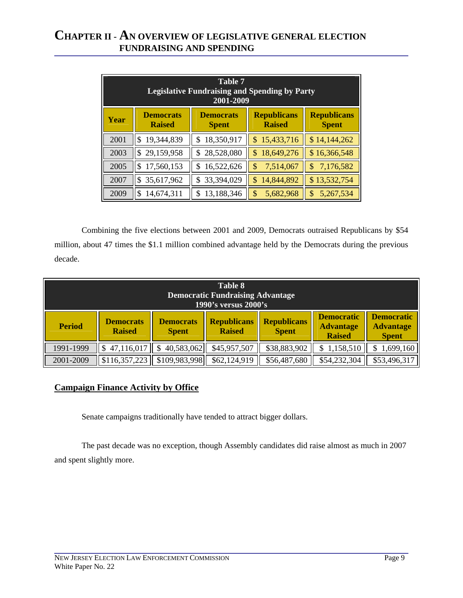| Table 7<br><b>Legislative Fundraising and Spending by Party</b><br>2001-2009                                                                               |                  |                  |                  |                 |  |  |
|------------------------------------------------------------------------------------------------------------------------------------------------------------|------------------|------------------|------------------|-----------------|--|--|
| <b>Democrats</b><br><b>Democrats</b><br><b>Republicans</b><br><b>Republicans</b><br>Year<br><b>Raised</b><br><b>Raised</b><br><b>Spent</b><br><b>Spent</b> |                  |                  |                  |                 |  |  |
| 2001                                                                                                                                                       | 19,344,839<br>\$ | 18,350,917<br>\$ | 15,433,716<br>\$ | \$14,144,262    |  |  |
| 2003                                                                                                                                                       | 29,159,958<br>\$ | \$28,528,080     | \$<br>18,649,276 | \$16,366,548    |  |  |
| 2005                                                                                                                                                       | 17,560,153<br>\$ | 16,522,626<br>\$ | \$<br>7,514,067  | \$<br>7,176,582 |  |  |
| 2007                                                                                                                                                       | 35,617,962<br>\$ | 33,394,029<br>\$ | 14,844,892<br>\$ | \$13,532,754    |  |  |
| 2009                                                                                                                                                       | 14,674,311<br>\$ | 13,188,346       | \$<br>5,682,968  | \$<br>5,267,534 |  |  |

Combining the five elections between 2001 and 2009, Democrats outraised Republicans by \$54 million, about 47 times the \$1.1 million combined advantage held by the Democrats during the previous decade.

| <b>Table 8</b><br><b>Democratic Fundraising Advantage</b><br>1990's versus 2000's                                                                                                                                             |               |               |              |              |                                                       |              |
|-------------------------------------------------------------------------------------------------------------------------------------------------------------------------------------------------------------------------------|---------------|---------------|--------------|--------------|-------------------------------------------------------|--------------|
| <b>Democratic</b><br><b>Republicans</b><br><b>Republicans</b><br><b>Democrats</b><br><b>Democrats</b><br><b>Period</b><br><b>Advantage</b><br><b>Raised</b><br><b>Raised</b><br><b>Spent</b><br><b>Spent</b><br><b>Raised</b> |               |               |              |              | <b>Democratic</b><br><b>Advantage</b><br><b>Spent</b> |              |
| 1991-1999                                                                                                                                                                                                                     | \$47,116,017  | 40,583,062    | \$45,957,507 | \$38,883,902 | 1,158,510                                             | 1,699,160    |
| 2001-2009                                                                                                                                                                                                                     | \$116,357,223 | \$109,983,998 | \$62,124,919 | \$56,487,680 | \$54,232,304                                          | \$53,496,317 |

#### **Campaign Finance Activity by Office**

Senate campaigns traditionally have tended to attract bigger dollars.

The past decade was no exception, though Assembly candidates did raise almost as much in 2007 and spent slightly more.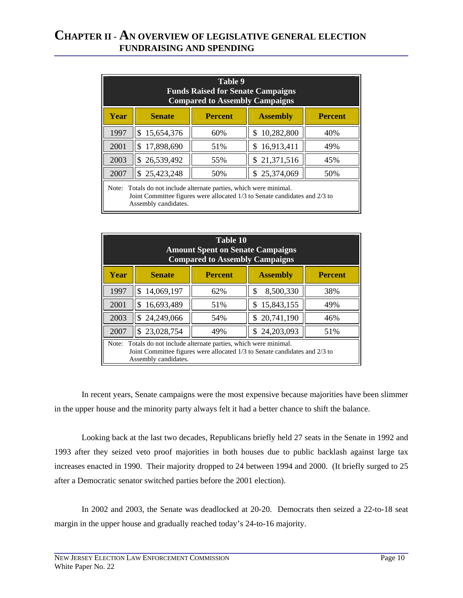| Table 9<br><b>Funds Raised for Senate Campaigns</b><br><b>Compared to Assembly Campaigns</b>                                                                                |                                              |                |                   |                |  |  |
|-----------------------------------------------------------------------------------------------------------------------------------------------------------------------------|----------------------------------------------|----------------|-------------------|----------------|--|--|
| Year                                                                                                                                                                        | <b>Senate</b>                                | <b>Percent</b> | <b>Assembly</b>   | <b>Percent</b> |  |  |
| 1997                                                                                                                                                                        | 15,654,376<br>\$                             | 60%            | 10,282,800<br>\$. | 40%            |  |  |
| 2001                                                                                                                                                                        | 17,898,690<br>\$                             | 51%            | 16,913,411<br>S   | 49%            |  |  |
| 2003                                                                                                                                                                        | 26,539,492<br>\$                             | 55%            | \$21,371,516      | 45%            |  |  |
| 2007                                                                                                                                                                        | 25,423,248<br>25,374,069<br>\$<br>50%<br>50% |                |                   |                |  |  |
| Totals do not include alternate parties, which were minimal.<br>Note:<br>Joint Committee figures were allocated 1/3 to Senate candidates and 2/3 to<br>Assembly candidates. |                                              |                |                   |                |  |  |

|       | <b>Table 10</b><br><b>Amount Spent on Senate Campaigns</b><br><b>Compared to Assembly Campaigns</b>                                                                |     |                    |     |  |  |  |  |  |  |  |
|-------|--------------------------------------------------------------------------------------------------------------------------------------------------------------------|-----|--------------------|-----|--|--|--|--|--|--|--|
| Year  | <b>Senate</b><br><b>Percent</b><br><b>Percent</b><br><b>Assembly</b>                                                                                               |     |                    |     |  |  |  |  |  |  |  |
| 1997  | 14,069,197<br>\$                                                                                                                                                   | 62% | 8,500,330<br>\$    | 38% |  |  |  |  |  |  |  |
| 2001  | 16,693,489<br>\$                                                                                                                                                   | 51% | 15,843,155<br>\$   | 49% |  |  |  |  |  |  |  |
| 2003  | 24,249,066<br>S                                                                                                                                                    | 54% | 20,741,190<br>S.   | 46% |  |  |  |  |  |  |  |
| 2007  | 23,028,754<br>\$                                                                                                                                                   | 49% | 24, 203, 093<br>\$ | 51% |  |  |  |  |  |  |  |
| Note: | Totals do not include alternate parties, which were minimal.<br>Joint Committee figures were allocated 1/3 to Senate candidates and 2/3 to<br>Assembly candidates. |     |                    |     |  |  |  |  |  |  |  |

In recent years, Senate campaigns were the most expensive because majorities have been slimmer in the upper house and the minority party always felt it had a better chance to shift the balance.

Looking back at the last two decades, Republicans briefly held 27 seats in the Senate in 1992 and 1993 after they seized veto proof majorities in both houses due to public backlash against large tax increases enacted in 1990. Their majority dropped to 24 between 1994 and 2000. (It briefly surged to 25 after a Democratic senator switched parties before the 2001 election).

In 2002 and 2003, the Senate was deadlocked at 20-20. Democrats then seized a 22-to-18 seat margin in the upper house and gradually reached today's 24-to-16 majority.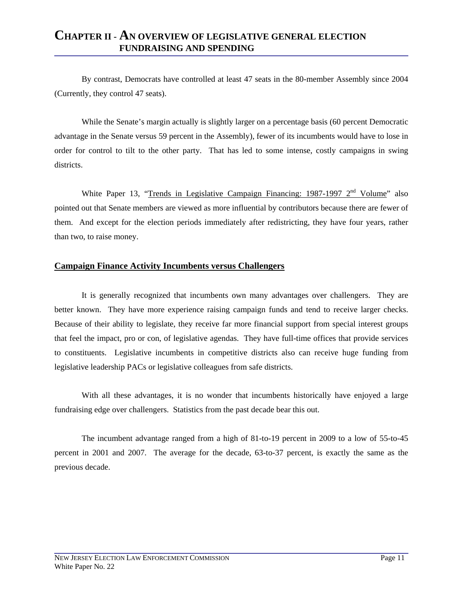By contrast, Democrats have controlled at least 47 seats in the 80-member Assembly since 2004 (Currently, they control 47 seats).

While the Senate's margin actually is slightly larger on a percentage basis (60 percent Democratic advantage in the Senate versus 59 percent in the Assembly), fewer of its incumbents would have to lose in order for control to tilt to the other party. That has led to some intense, costly campaigns in swing districts.

White Paper 13, "Trends in Legislative Campaign Financing: 1987-1997  $2<sup>nd</sup>$  Volume" also pointed out that Senate members are viewed as more influential by contributors because there are fewer of them. And except for the election periods immediately after redistricting, they have four years, rather than two, to raise money.

#### **Campaign Finance Activity Incumbents versus Challengers**

It is generally recognized that incumbents own many advantages over challengers. They are better known. They have more experience raising campaign funds and tend to receive larger checks. Because of their ability to legislate, they receive far more financial support from special interest groups that feel the impact, pro or con, of legislative agendas. They have full-time offices that provide services to constituents. Legislative incumbents in competitive districts also can receive huge funding from legislative leadership PACs or legislative colleagues from safe districts.

With all these advantages, it is no wonder that incumbents historically have enjoyed a large fundraising edge over challengers. Statistics from the past decade bear this out.

The incumbent advantage ranged from a high of 81-to-19 percent in 2009 to a low of 55-to-45 percent in 2001 and 2007. The average for the decade, 63-to-37 percent, is exactly the same as the previous decade.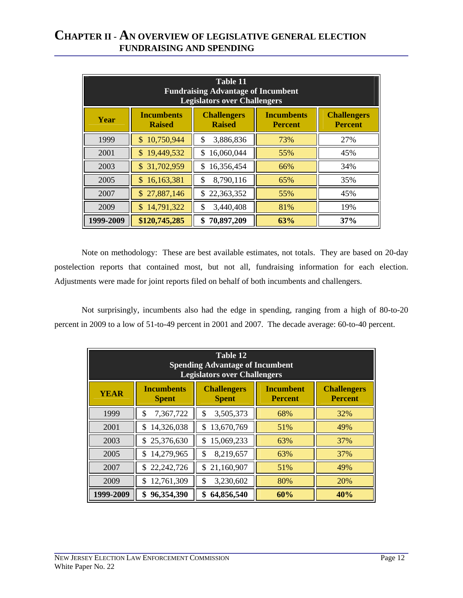|           | Table 11<br><b>Fundraising Advantage of Incumbent</b><br><b>Legislators over Challengers</b> |                                     |                                      |     |  |  |  |  |  |  |  |
|-----------|----------------------------------------------------------------------------------------------|-------------------------------------|--------------------------------------|-----|--|--|--|--|--|--|--|
| Year      | <b>Incumbents</b><br><b>Raised</b>                                                           | <b>Incumbents</b><br><b>Percent</b> | <b>Challengers</b><br><b>Percent</b> |     |  |  |  |  |  |  |  |
| 1999      | 10,750,944<br>\$                                                                             | 3,886,836<br>\$                     | 73%                                  | 27% |  |  |  |  |  |  |  |
| 2001      | 19,449,532<br>\$                                                                             | 16,060,044<br>\$                    | 55%                                  | 45% |  |  |  |  |  |  |  |
| 2003      | 31,702,959<br>\$.                                                                            | \$<br>16,356,454                    | 66%                                  | 34% |  |  |  |  |  |  |  |
| 2005      | 16,163,381<br>\$.                                                                            | \$<br>8,790,116                     | 65%                                  | 35% |  |  |  |  |  |  |  |
| 2007      | \$27,887,146                                                                                 | 22,363,352<br>\$                    | 55%                                  | 45% |  |  |  |  |  |  |  |
| 2009      | 14,791,322<br>\$                                                                             | 3,440,408<br>\$                     | 81%                                  | 19% |  |  |  |  |  |  |  |
| 1999-2009 | \$120,745,285                                                                                | \$<br>70,897,209                    | 63%                                  | 37% |  |  |  |  |  |  |  |

Note on methodology: These are best available estimates, not totals. They are based on 20-day postelection reports that contained most, but not all, fundraising information for each election. Adjustments were made for joint reports filed on behalf of both incumbents and challengers.

Not surprisingly, incumbents also had the edge in spending, ranging from a high of 80-to-20 percent in 2009 to a low of 51-to-49 percent in 2001 and 2007. The decade average: 60-to-40 percent.

|             | <b>Table 12</b><br><b>Spending Advantage of Incumbent</b><br><b>Legislators over Challengers</b> |                                    |                                      |     |  |  |  |  |  |  |
|-------------|--------------------------------------------------------------------------------------------------|------------------------------------|--------------------------------------|-----|--|--|--|--|--|--|
| <b>YEAR</b> | <b>Incumbents</b><br><b>Spent</b>                                                                | <b>Incumbent</b><br><b>Percent</b> | <b>Challengers</b><br><b>Percent</b> |     |  |  |  |  |  |  |
| 1999        | 7,367,722<br>\$                                                                                  | 3,505,373<br>\$                    | 68%                                  | 32% |  |  |  |  |  |  |
| 2001        | 14,326,038<br>\$                                                                                 | 13,670,769<br>\$                   | 51%                                  | 49% |  |  |  |  |  |  |
| 2003        | 25,376,630<br>\$                                                                                 | 15,069,233<br>\$                   | 63%                                  | 37% |  |  |  |  |  |  |
| 2005        | 14,279,965<br>\$                                                                                 | 8,219,657<br>\$                    | 63%                                  | 37% |  |  |  |  |  |  |
| 2007        | 22,242,726<br>\$                                                                                 | \$<br>21,160,907                   | 51%                                  | 49% |  |  |  |  |  |  |
| 2009        | 12,761,309<br>\$                                                                                 | 3,230,602<br>\$                    | 80%                                  | 20% |  |  |  |  |  |  |
| 1999-2009   | 96,354,390<br>\$                                                                                 | \$<br>64,856,540                   | 60%                                  | 40% |  |  |  |  |  |  |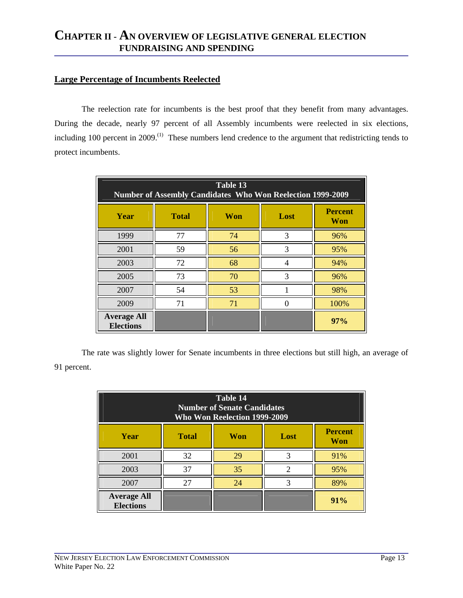#### **Large Percentage of Incumbents Reelected**

The reelection rate for incumbents is the best proof that they benefit from many advantages. During the decade, nearly 97 percent of all Assembly incumbents were reelected in six elections, including 100 percent in 2009.<sup>(1)</sup> These numbers lend credence to the argument that redistricting tends to protect incumbents.

| Table 13<br><b>Number of Assembly Candidates Who Won Reelection 1999-2009</b> |              |     |      |                       |  |  |  |  |  |
|-------------------------------------------------------------------------------|--------------|-----|------|-----------------------|--|--|--|--|--|
| Year                                                                          | <b>Total</b> | Won | Lost | <b>Percent</b><br>Won |  |  |  |  |  |
| 1999                                                                          | 77           | 74  | 3    | 96%                   |  |  |  |  |  |
| 2001                                                                          | 59           | 56  | 3    | 95%                   |  |  |  |  |  |
| 2003                                                                          | 72           | 68  |      | 94%                   |  |  |  |  |  |
| 2005                                                                          | 73           | 70  | 3    | 96%                   |  |  |  |  |  |
| 2007                                                                          | 54           | 53  |      | 98%                   |  |  |  |  |  |
| 2009                                                                          | 71           | 71  |      | 100%                  |  |  |  |  |  |
| <b>Average All</b><br><b>Elections</b>                                        |              |     |      | 97%                   |  |  |  |  |  |

 The rate was slightly lower for Senate incumbents in three elections but still high, an average of 91 percent.

| Table 14<br><b>Number of Senate Candidates</b><br><b>Who Won Reelection 1999-2009</b> |    |    |   |     |  |  |  |  |  |
|---------------------------------------------------------------------------------------|----|----|---|-----|--|--|--|--|--|
| <b>Percent</b><br><b>Total</b><br>Won<br>Year<br>Lost<br>Won                          |    |    |   |     |  |  |  |  |  |
| 2001                                                                                  | 32 | 29 |   | 91% |  |  |  |  |  |
| 2003                                                                                  | 37 | 35 | 2 | 95% |  |  |  |  |  |
| 2007                                                                                  | 27 | 24 |   | 89% |  |  |  |  |  |
| <b>Average All</b><br><b>Elections</b>                                                |    |    |   | 91% |  |  |  |  |  |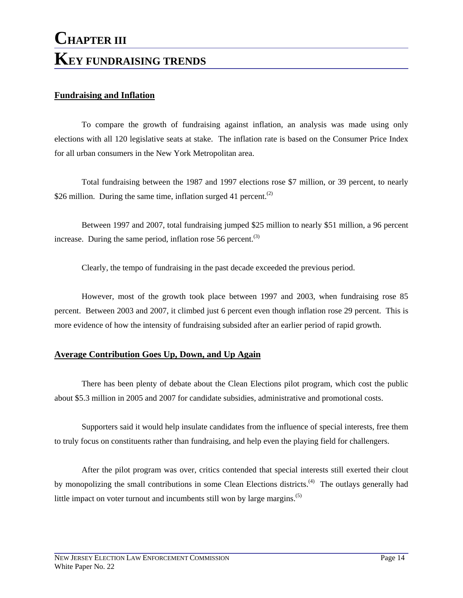# **CHAPTER III KEY FUNDRAISING TRENDS**

#### **Fundraising and Inflation**

To compare the growth of fundraising against inflation, an analysis was made using only elections with all 120 legislative seats at stake. The inflation rate is based on the Consumer Price Index for all urban consumers in the New York Metropolitan area.

Total fundraising between the 1987 and 1997 elections rose \$7 million, or 39 percent, to nearly \$26 million. During the same time, inflation surged 41 percent.<sup>(2)</sup>

Between 1997 and 2007, total fundraising jumped \$25 million to nearly \$51 million, a 96 percent increase. During the same period, inflation rose 56 percent. $(3)$ 

Clearly, the tempo of fundraising in the past decade exceeded the previous period.

However, most of the growth took place between 1997 and 2003, when fundraising rose 85 percent. Between 2003 and 2007, it climbed just 6 percent even though inflation rose 29 percent. This is more evidence of how the intensity of fundraising subsided after an earlier period of rapid growth.

#### **Average Contribution Goes Up, Down, and Up Again**

There has been plenty of debate about the Clean Elections pilot program, which cost the public about \$5.3 million in 2005 and 2007 for candidate subsidies, administrative and promotional costs.

Supporters said it would help insulate candidates from the influence of special interests, free them to truly focus on constituents rather than fundraising, and help even the playing field for challengers.

After the pilot program was over, critics contended that special interests still exerted their clout by monopolizing the small contributions in some Clean Elections districts.<sup>(4)</sup> The outlays generally had little impact on voter turnout and incumbents still won by large margins.<sup>(5)</sup>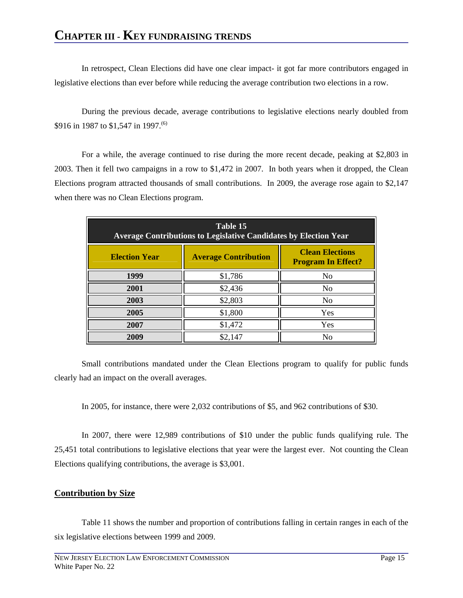In retrospect, Clean Elections did have one clear impact- it got far more contributors engaged in legislative elections than ever before while reducing the average contribution two elections in a row.

During the previous decade, average contributions to legislative elections nearly doubled from \$916 in 1987 to \$1,547 in 1997.<sup>(6)</sup>

For a while, the average continued to rise during the more recent decade, peaking at \$2,803 in 2003. Then it fell two campaigns in a row to \$1,472 in 2007. In both years when it dropped, the Clean Elections program attracted thousands of small contributions. In 2009, the average rose again to \$2,147 when there was no Clean Elections program.

| Table 15<br><b>Average Contributions to Legislative Candidates by Election Year</b> |                                                     |     |  |  |  |  |  |  |  |
|-------------------------------------------------------------------------------------|-----------------------------------------------------|-----|--|--|--|--|--|--|--|
| <b>Election Year</b>                                                                | <b>Clean Elections</b><br><b>Program In Effect?</b> |     |  |  |  |  |  |  |  |
| 1999                                                                                | \$1,786                                             | No  |  |  |  |  |  |  |  |
| 2001                                                                                | \$2,436                                             | No  |  |  |  |  |  |  |  |
| 2003                                                                                | \$2,803                                             | No  |  |  |  |  |  |  |  |
| 2005                                                                                | \$1,800                                             | Yes |  |  |  |  |  |  |  |
| 2007                                                                                | \$1,472                                             | Yes |  |  |  |  |  |  |  |
| 2009                                                                                | \$2,147                                             | No  |  |  |  |  |  |  |  |

Small contributions mandated under the Clean Elections program to qualify for public funds clearly had an impact on the overall averages.

In 2005, for instance, there were 2,032 contributions of \$5, and 962 contributions of \$30.

In 2007, there were 12,989 contributions of \$10 under the public funds qualifying rule. The 25,451 total contributions to legislative elections that year were the largest ever. Not counting the Clean Elections qualifying contributions, the average is \$3,001.

#### **Contribution by Size**

Table 11 shows the number and proportion of contributions falling in certain ranges in each of the six legislative elections between 1999 and 2009.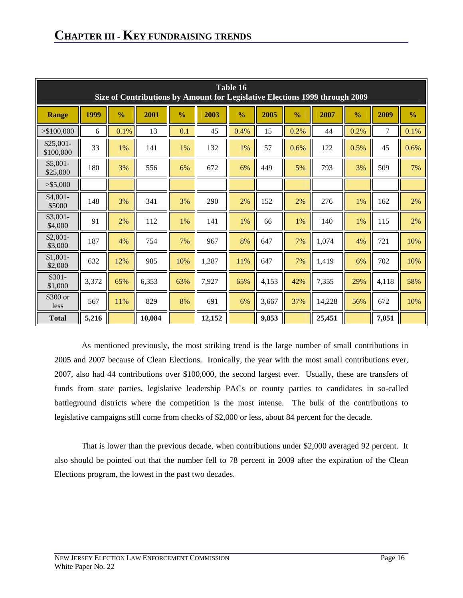|                         | Table 16<br>Size of Contributions by Amount for Legislative Elections 1999 through 2009 |               |        |               |        |               |       |               |        |               |       |               |
|-------------------------|-----------------------------------------------------------------------------------------|---------------|--------|---------------|--------|---------------|-------|---------------|--------|---------------|-------|---------------|
| <b>Range</b>            | 1999                                                                                    | $\frac{0}{0}$ | 2001   | $\frac{0}{0}$ | 2003   | $\frac{0}{0}$ | 2005  | $\frac{0}{0}$ | 2007   | $\frac{0}{0}$ | 2009  | $\frac{0}{0}$ |
| > \$100,000             | 6                                                                                       | 0.1%          | 13     | 0.1           | 45     | 0.4%          | 15    | 0.2%          | 44     | 0.2%          | 7     | 0.1%          |
| $$25,001-$<br>\$100,000 | 33                                                                                      | 1%            | 141    | 1%            | 132    | 1%            | 57    | 0.6%          | 122    | 0.5%          | 45    | 0.6%          |
| $$5,001-$<br>\$25,000   | 180                                                                                     | 3%            | 556    | 6%            | 672    | 6%            | 449   | 5%            | 793    | 3%            | 509   | 7%            |
| $>$ \$5,000             |                                                                                         |               |        |               |        |               |       |               |        |               |       |               |
| $$4,001-$<br>\$5000     | 148                                                                                     | 3%            | 341    | 3%            | 290    | 2%            | 152   | 2%            | 276    | 1%            | 162   | 2%            |
| $$3,001-$<br>\$4,000    | 91                                                                                      | 2%            | 112    | 1%            | 141    | 1%            | 66    | 1%            | 140    | 1%            | 115   | 2%            |
| $$2,001-$<br>\$3,000    | 187                                                                                     | 4%            | 754    | 7%            | 967    | 8%            | 647   | 7%            | 1,074  | 4%            | 721   | 10%           |
| $$1,001-$<br>\$2,000    | 632                                                                                     | 12%           | 985    | 10%           | 1,287  | 11%           | 647   | 7%            | 1,419  | 6%            | 702   | 10%           |
| $$301-$<br>\$1,000      | 3,372                                                                                   | 65%           | 6,353  | 63%           | 7,927  | 65%           | 4,153 | 42%           | 7,355  | 29%           | 4,118 | 58%           |
| \$300 or<br>less        | 567                                                                                     | 11%           | 829    | 8%            | 691    | 6%            | 3,667 | 37%           | 14,228 | 56%           | 672   | 10%           |
| <b>Total</b>            | 5,216                                                                                   |               | 10,084 |               | 12,152 |               | 9,853 |               | 25,451 |               | 7,051 |               |

As mentioned previously, the most striking trend is the large number of small contributions in 2005 and 2007 because of Clean Elections. Ironically, the year with the most small contributions ever, 2007, also had 44 contributions over \$100,000, the second largest ever. Usually, these are transfers of funds from state parties, legislative leadership PACs or county parties to candidates in so-called battleground districts where the competition is the most intense. The bulk of the contributions to legislative campaigns still come from checks of \$2,000 or less, about 84 percent for the decade.

That is lower than the previous decade, when contributions under \$2,000 averaged 92 percent. It also should be pointed out that the number fell to 78 percent in 2009 after the expiration of the Clean Elections program, the lowest in the past two decades.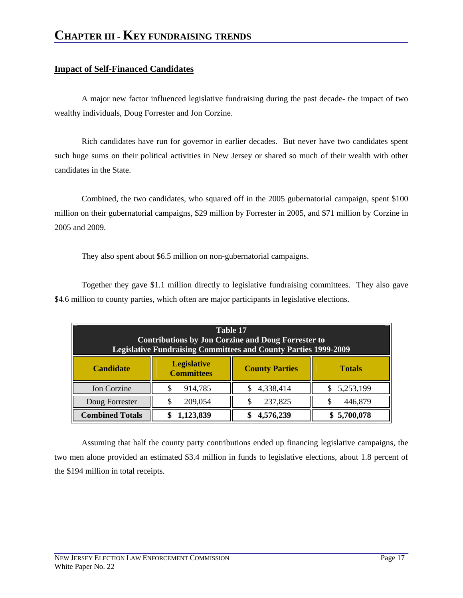#### **Impact of Self-Financed Candidates**

A major new factor influenced legislative fundraising during the past decade- the impact of two wealthy individuals, Doug Forrester and Jon Corzine.

Rich candidates have run for governor in earlier decades. But never have two candidates spent such huge sums on their political activities in New Jersey or shared so much of their wealth with other candidates in the State.

Combined, the two candidates, who squared off in the 2005 gubernatorial campaign, spent \$100 million on their gubernatorial campaigns, \$29 million by Forrester in 2005, and \$71 million by Corzine in 2005 and 2009.

They also spent about \$6.5 million on non-gubernatorial campaigns.

Together they gave \$1.1 million directly to legislative fundraising committees. They also gave \$4.6 million to county parties, which often are major participants in legislative elections.

| Table 17<br><b>Contributions by Jon Corzine and Doug Forrester to</b><br><b>Legislative Fundraising Committees and County Parties 1999-2009</b> |                                                                                   |           |             |  |  |  |  |  |
|-------------------------------------------------------------------------------------------------------------------------------------------------|-----------------------------------------------------------------------------------|-----------|-------------|--|--|--|--|--|
| <b>Candidate</b>                                                                                                                                | <b>Legislative</b><br><b>County Parties</b><br><b>Totals</b><br><b>Committees</b> |           |             |  |  |  |  |  |
| Jon Corzine                                                                                                                                     | 914,785                                                                           | 4,338,414 | 5,253,199   |  |  |  |  |  |
| Doug Forrester                                                                                                                                  | 209,054                                                                           | 237,825   | 446,879     |  |  |  |  |  |
| <b>Combined Totals</b>                                                                                                                          | 1,123,839                                                                         | 4,576,239 | \$5,700,078 |  |  |  |  |  |

Assuming that half the county party contributions ended up financing legislative campaigns, the two men alone provided an estimated \$3.4 million in funds to legislative elections, about 1.8 percent of the \$194 million in total receipts.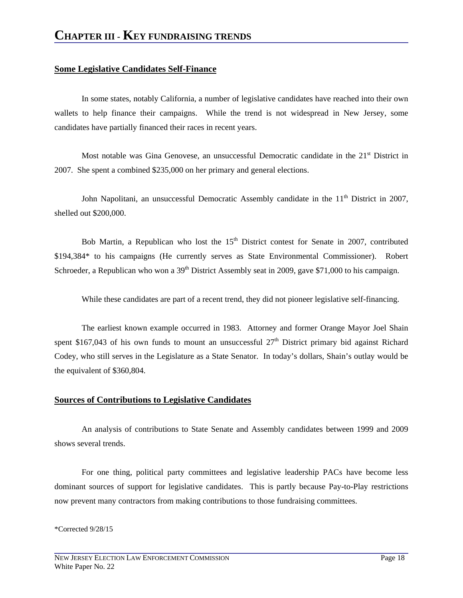#### **Some Legislative Candidates Self-Finance**

In some states, notably California, a number of legislative candidates have reached into their own wallets to help finance their campaigns. While the trend is not widespread in New Jersey, some candidates have partially financed their races in recent years.

Most notable was Gina Genovese, an unsuccessful Democratic candidate in the  $21<sup>st</sup>$  District in 2007. She spent a combined \$235,000 on her primary and general elections.

John Napolitani, an unsuccessful Democratic Assembly candidate in the  $11<sup>th</sup>$  District in 2007, shelled out \$200,000.

Bob Martin, a Republican who lost the  $15<sup>th</sup>$  District contest for Senate in 2007, contributed \$194,384\* to his campaigns (He currently serves as State Environmental Commissioner). Robert Schroeder, a Republican who won a  $39<sup>th</sup>$  District Assembly seat in 2009, gave \$71,000 to his campaign.

While these candidates are part of a recent trend, they did not pioneer legislative self-financing.

The earliest known example occurred in 1983. Attorney and former Orange Mayor Joel Shain spent \$167,043 of his own funds to mount an unsuccessful  $27<sup>th</sup>$  District primary bid against Richard Codey, who still serves in the Legislature as a State Senator. In today's dollars, Shain's outlay would be the equivalent of \$360,804.

#### **Sources of Contributions to Legislative Candidates**

An analysis of contributions to State Senate and Assembly candidates between 1999 and 2009 shows several trends.

For one thing, political party committees and legislative leadership PACs have become less dominant sources of support for legislative candidates. This is partly because Pay-to-Play restrictions now prevent many contractors from making contributions to those fundraising committees.

#### \*Corrected 9/28/15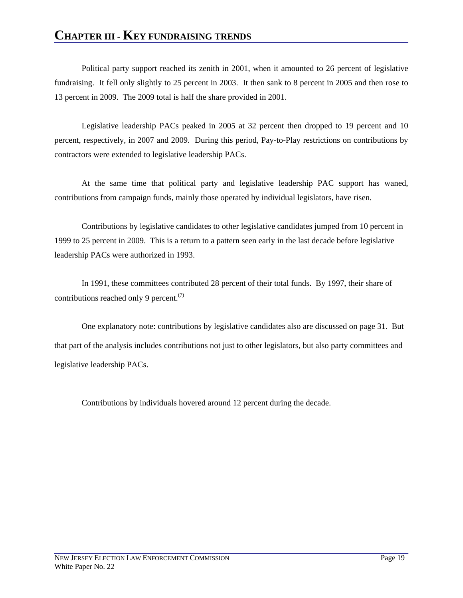### **CHAPTER III - KEY FUNDRAISING TRENDS**

Political party support reached its zenith in 2001, when it amounted to 26 percent of legislative fundraising. It fell only slightly to 25 percent in 2003. It then sank to 8 percent in 2005 and then rose to 13 percent in 2009. The 2009 total is half the share provided in 2001.

Legislative leadership PACs peaked in 2005 at 32 percent then dropped to 19 percent and 10 percent, respectively, in 2007 and 2009. During this period, Pay-to-Play restrictions on contributions by contractors were extended to legislative leadership PACs.

At the same time that political party and legislative leadership PAC support has waned, contributions from campaign funds, mainly those operated by individual legislators, have risen.

Contributions by legislative candidates to other legislative candidates jumped from 10 percent in 1999 to 25 percent in 2009. This is a return to a pattern seen early in the last decade before legislative leadership PACs were authorized in 1993.

In 1991, these committees contributed 28 percent of their total funds. By 1997, their share of contributions reached only 9 percent. $(7)$ 

One explanatory note: contributions by legislative candidates also are discussed on page 31. But that part of the analysis includes contributions not just to other legislators, but also party committees and legislative leadership PACs.

Contributions by individuals hovered around 12 percent during the decade.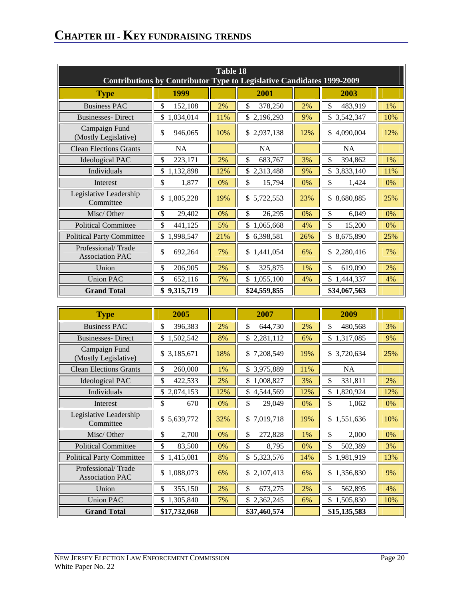| Table 18                                                                     |                 |     |                 |     |                 |     |  |  |  |  |
|------------------------------------------------------------------------------|-----------------|-----|-----------------|-----|-----------------|-----|--|--|--|--|
| <b>Contributions by Contributor Type to Legislative Candidates 1999-2009</b> |                 |     |                 |     |                 |     |  |  |  |  |
| <b>Type</b>                                                                  | 1999            |     | 2001            |     | 2003            |     |  |  |  |  |
| <b>Business PAC</b>                                                          | \$<br>152,108   | 2%  | \$<br>378,250   | 2%  | \$<br>483,919   | 1%  |  |  |  |  |
| <b>Businesses-Direct</b>                                                     | 1,034,014<br>\$ | 11% | \$2,196,293     | 9%  | \$3,542,347     | 10% |  |  |  |  |
| Campaign Fund<br>(Mostly Legislative)                                        | \$<br>946,065   | 10% | \$2,937,138     | 12% | 4,090,004<br>\$ | 12% |  |  |  |  |
| <b>Clean Elections Grants</b>                                                | <b>NA</b>       |     | <b>NA</b>       |     | <b>NA</b>       |     |  |  |  |  |
| <b>Ideological PAC</b>                                                       | \$<br>223,171   | 2%  | \$<br>683,767   | 3%  | \$<br>394,862   | 1%  |  |  |  |  |
| Individuals                                                                  | \$<br>1,132,898 | 12% | \$2,313,488     | 9%  | \$<br>3,833,140 | 11% |  |  |  |  |
| Interest                                                                     | \$<br>1,877     | 0%  | \$<br>15,794    | 0%  | \$<br>1,424     | 0%  |  |  |  |  |
| Legislative Leadership<br>Committee                                          | \$<br>1,805,228 | 19% | \$5,722,553     | 23% | \$8,680,885     | 25% |  |  |  |  |
| Misc/Other                                                                   | \$<br>29,402    | 0%  | \$<br>26,295    | 0%  | \$<br>6,049     | 0%  |  |  |  |  |
| <b>Political Committee</b>                                                   | \$<br>441,125   | 5%  | \$<br>1,065,668 | 4%  | \$<br>15,200    | 0%  |  |  |  |  |
| <b>Political Party Committee</b>                                             | \$<br>1,998,547 | 21% | \$6,398,581     | 26% | \$8,675,890     | 25% |  |  |  |  |
| Professional/Trade<br><b>Association PAC</b>                                 | \$<br>692,264   | 7%  | 1,441,054<br>\$ | 6%  | \$2,280,416     | 7%  |  |  |  |  |
| Union                                                                        | \$<br>206,905   | 2%  | \$<br>325,875   | 1%  | \$<br>619,090   | 2%  |  |  |  |  |
| <b>Union PAC</b>                                                             | \$<br>652,116   | 7%  | \$<br>1,055,100 | 4%  | 1,444,337<br>\$ | 4%  |  |  |  |  |
| <b>Grand Total</b>                                                           | \$<br>9,315,719 |     | \$24,559,855    |     | \$34,067,563    |     |  |  |  |  |

| <b>Type</b>                                  | 2005            |     | 2007            |     | 2009            |     |
|----------------------------------------------|-----------------|-----|-----------------|-----|-----------------|-----|
| <b>Business PAC</b>                          | \$<br>396,383   | 2%  | 644,730<br>\$   | 2%  | \$<br>480,568   | 3%  |
| <b>Businesses-Direct</b>                     | \$<br>1,502,542 | 8%  | \$2,281,112     | 6%  | \$<br>1,317,085 | 9%  |
| Campaign Fund<br>(Mostly Legislative)        | \$3,185,671     | 18% | \$7,208,549     | 19% | \$3,720,634     | 25% |
| <b>Clean Elections Grants</b>                | \$<br>260,000   | 1%  | 3,975,889<br>\$ | 11% | <b>NA</b>       |     |
| <b>Ideological PAC</b>                       | \$<br>422,533   | 2%  | 1,008,827<br>\$ | 3%  | \$<br>331,811   | 2%  |
| Individuals                                  | \$<br>2,074,153 | 12% | \$<br>4,544,569 | 12% | \$<br>1,820,924 | 12% |
| Interest                                     | \$<br>670       | 0%  | \$<br>29,049    | 0%  | \$<br>1,062     | 0%  |
| Legislative Leadership<br>Committee          | \$5,639,772     | 32% | 7,019,718<br>\$ | 19% | \$<br>1,551,636 | 10% |
| Misc/Other                                   | \$<br>2,700     | 0%  | \$<br>272,828   | 1%  | \$<br>2,000     | 0%  |
| <b>Political Committee</b>                   | \$<br>83,500    | 0%  | \$<br>8,795     | 0%  | \$<br>502,389   | 3%  |
| <b>Political Party Committee</b>             | \$<br>1,415,081 | 8%  | \$<br>5,323,576 | 14% | \$<br>1,981,919 | 13% |
| Professional/Trade<br><b>Association PAC</b> | \$<br>1,088,073 | 6%  | \$2,107,413     | 6%  | \$<br>1,356,830 | 9%  |
| Union                                        | \$<br>355,150   | 2%  | \$<br>673,275   | 2%  | \$<br>562,895   | 4%  |
| <b>Union PAC</b>                             | \$<br>1,305,840 | 7%  | \$2,362,245     | 6%  | \$<br>1,505,830 | 10% |
| <b>Grand Total</b>                           | \$17,732,068    |     | \$37,460,574    |     | \$15,135,583    |     |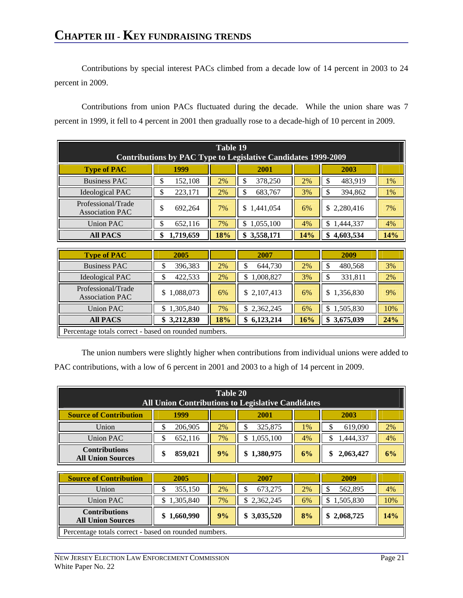Contributions by special interest PACs climbed from a decade low of 14 percent in 2003 to 24 percent in 2009.

Contributions from union PACs fluctuated during the decade. While the union share was 7 percent in 1999, it fell to 4 percent in 2001 then gradually rose to a decade-high of 10 percent in 2009.

| Table 19<br>Contributions by PAC Type to Legislative Candidates 1999-2009 |                 |     |                 |     |                 |     |  |  |  |  |
|---------------------------------------------------------------------------|-----------------|-----|-----------------|-----|-----------------|-----|--|--|--|--|
| <b>Type of PAC</b>                                                        | 1999            |     | 2001            |     | 2003            |     |  |  |  |  |
| <b>Business PAC</b>                                                       | 152,108<br>\$   | 2%  | 378,250<br>\$   | 2%  | 483,919<br>\$   | 1%  |  |  |  |  |
| <b>Ideological PAC</b>                                                    | 223,171<br>\$   | 2%  | \$<br>683,767   | 3%  | \$<br>394,862   | 1%  |  |  |  |  |
| Professional/Trade<br><b>Association PAC</b>                              | \$<br>692,264   | 7%  | \$1,441,054     | 6%  | \$2,280,416     | 7%  |  |  |  |  |
| <b>Union PAC</b>                                                          | 652,116<br>\$   | 7%  | 1,055,100<br>\$ | 4%  | 1,444,337<br>\$ | 4%  |  |  |  |  |
| <b>All PACS</b>                                                           | 1,719,659<br>\$ | 18% | 3,558,171<br>\$ | 14% | 4,603,534       | 14% |  |  |  |  |

| <b>Type of PAC</b>                                    | 2005        |     | 2007            |     | 2009            |     |  |  |
|-------------------------------------------------------|-------------|-----|-----------------|-----|-----------------|-----|--|--|
| <b>Business PAC</b>                                   | 396,383     | 2%  | 644,730<br>۰D   | 2%  | 480,568         | 3%  |  |  |
| <b>Ideological PAC</b>                                | 422,533     | 2%  | 1,008,827<br>S  | 3%  | 331,811         | 2%  |  |  |
| Professional/Trade<br><b>Association PAC</b>          | \$1,088,073 | 6%  | \$2,107,413     | 6%  | \$1,356,830     | 9%  |  |  |
| <b>Union PAC</b>                                      | 1,305,840   | 7%  | 2,362,245<br>S  | 6%  | 1,505,830<br>\$ | 10% |  |  |
| <b>All PACS</b>                                       | \$3,212,830 | 18% | 6,123,214<br>\$ | 16% | 3,675,039<br>\$ | 24% |  |  |
| Percentage totals correct - based on rounded numbers. |             |     |                 |     |                 |     |  |  |

The union numbers were slightly higher when contributions from individual unions were added to PAC contributions, with a low of 6 percent in 2001 and 2003 to a high of 14 percent in 2009.

| Table 20<br><b>All Union Contributions to Legislative Candidates</b> |         |                     |             |       |           |    |  |  |
|----------------------------------------------------------------------|---------|---------------------|-------------|-------|-----------|----|--|--|
| <b>Source of Contribution</b>                                        | 1999    | 2003<br><b>2001</b> |             |       |           |    |  |  |
| Union                                                                | 206,905 | 2%                  | 325,875     | $1\%$ | 619,090   | 2% |  |  |
| <b>Union PAC</b>                                                     | 652,116 | 7%                  | 1,055,100   | 4%    | 1,444,337 | 4% |  |  |
| <b>Contributions</b><br><b>All Union Sources</b>                     | 859,021 | 9%                  | \$1,380,975 | 6%    | 2,063,427 | 6% |  |  |

| <b>Source of Contribution</b>                         | 2005                                                         |    | 2007      |    | 2009      |     |  |  |
|-------------------------------------------------------|--------------------------------------------------------------|----|-----------|----|-----------|-----|--|--|
| Union                                                 | 355,150                                                      | 2% | 673,275   | 2% | 562,895   | 4%  |  |  |
| <b>Union PAC</b>                                      | \$1,305,840                                                  | 7% | 2,362,245 | 6% | 1,505,830 | 10% |  |  |
| <b>Contributions</b><br><b>All Union Sources</b>      | \$3,035,520<br>\$2,068,725<br>\$1,660,990<br>9%<br>8%<br>14% |    |           |    |           |     |  |  |
| Percentage totals correct - based on rounded numbers. |                                                              |    |           |    |           |     |  |  |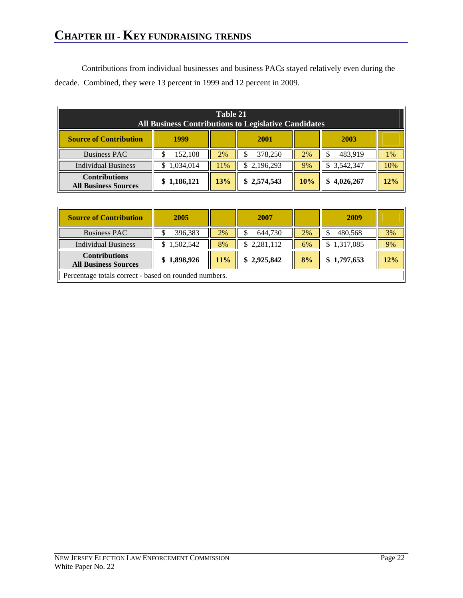Contributions from individual businesses and business PACs stayed relatively even during the decade. Combined, they were 13 percent in 1999 and 12 percent in 2009.

| Table 21<br><b>All Business Contributions to Legislative Candidates</b> |             |     |             |     |                 |     |  |  |
|-------------------------------------------------------------------------|-------------|-----|-------------|-----|-----------------|-----|--|--|
| <b>Source of Contribution</b>                                           | 1999        |     | 2001        |     | 2003            |     |  |  |
| <b>Business PAC</b>                                                     | 152,108     | 2%  | 378,250     | 2%  | 483,919         | 1%  |  |  |
| <b>Individual Business</b>                                              | 1,034,014   | 1%  | 2,196,293   | 9%  | 3,542,347<br>S. | 10% |  |  |
| <b>Contributions</b><br><b>All Business Sources</b>                     | \$1,186,121 | 13% | \$2,574,543 | 10% | 4,026,267       | 12% |  |  |

| <b>Source of Contribution</b>                         | 2005        |        | 2007        |    | 2009            |     |  |
|-------------------------------------------------------|-------------|--------|-------------|----|-----------------|-----|--|
| <b>Business PAC</b>                                   | 396,383     | 2%     | 644,730     | 2% | 480,568<br>S    | 3%  |  |
| <b>Individual Business</b>                            | \$1,502,542 | 8%     | 2,281,112   | 6% | 1,317,085<br>\$ | 9%  |  |
| <b>Contributions</b><br><b>All Business Sources</b>   | \$1,898,926 | $11\%$ | \$2,925,842 | 8% | \$1,797,653     | 12% |  |
| Percentage totals correct - based on rounded numbers. |             |        |             |    |                 |     |  |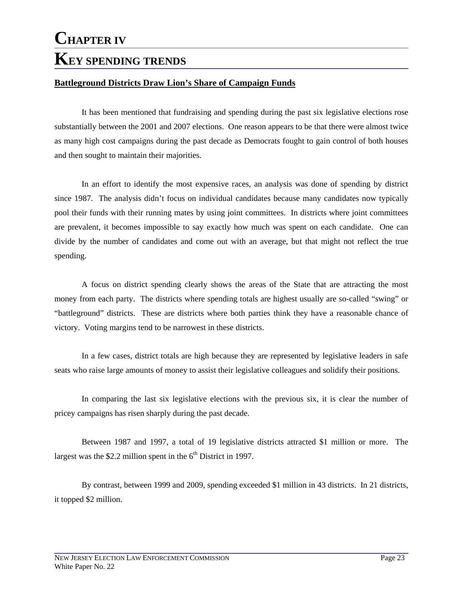#### **Battleground Districts Draw Lion's Share of Campaign Funds**

It has been mentioned that fundraising and spending during the past six legislative elections rose substantially between the 2001 and 2007 elections. One reason appears to be that there were almost twice as many high cost campaigns during the past decade as Democrats fought to gain control of both houses and then sought to maintain their majorities.

 In an effort to identify the most expensive races, an analysis was done of spending by district since 1987. The analysis didn't focus on individual candidates because many candidates now typically pool their funds with their running mates by using joint committees. In districts where joint committees are prevalent, it becomes impossible to say exactly how much was spent on each candidate. One can divide by the number of candidates and come out with an average, but that might not reflect the true spending.

A focus on district spending clearly shows the areas of the State that are attracting the most money from each party. The districts where spending totals are highest usually are so-called "swing" or "battleground" districts. These are districts where both parties think they have a reasonable chance of victory. Voting margins tend to be narrowest in these districts.

In a few cases, district totals are high because they are represented by legislative leaders in safe seats who raise large amounts of money to assist their legislative colleagues and solidify their positions.

 In comparing the last six legislative elections with the previous six, it is clear the number of pricey campaigns has risen sharply during the past decade.

 Between 1987 and 1997, a total of 19 legislative districts attracted \$1 million or more. The largest was the \$2.2 million spent in the  $6<sup>th</sup>$  District in 1997.

 By contrast, between 1999 and 2009, spending exceeded \$1 million in 43 districts. In 21 districts, it topped \$2 million.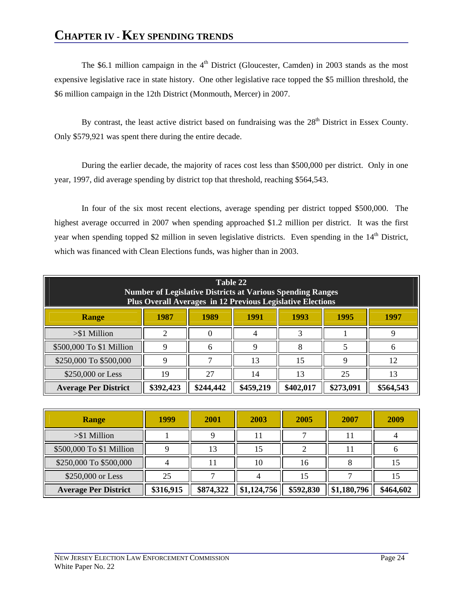### **CHAPTER IV - KEY SPENDING TRENDS**

The \$6.1 million campaign in the  $4<sup>th</sup>$  District (Gloucester, Camden) in 2003 stands as the most expensive legislative race in state history. One other legislative race topped the \$5 million threshold, the \$6 million campaign in the 12th District (Monmouth, Mercer) in 2007.

By contrast, the least active district based on fundraising was the 28<sup>th</sup> District in Essex County. Only \$579,921 was spent there during the entire decade.

During the earlier decade, the majority of races cost less than \$500,000 per district. Only in one year, 1997, did average spending by district top that threshold, reaching \$564,543.

In four of the six most recent elections, average spending per district topped \$500,000. The highest average occurred in 2007 when spending approached \$1.2 million per district. It was the first year when spending topped \$2 million in seven legislative districts. Even spending in the 14<sup>th</sup> District, which was financed with Clean Elections funds, was higher than in 2003.

| Table 22<br><b>Number of Legislative Districts at Various Spending Ranges</b><br>Plus Overall Averages in 12 Previous Legislative Elections |                                              |           |           |           |           |           |  |  |  |
|---------------------------------------------------------------------------------------------------------------------------------------------|----------------------------------------------|-----------|-----------|-----------|-----------|-----------|--|--|--|
| <b>Range</b>                                                                                                                                | 1989<br>1987<br>1991<br>1993<br>1995<br>1997 |           |           |           |           |           |  |  |  |
| $> $1$ Million                                                                                                                              | ∍                                            |           |           |           |           | Q         |  |  |  |
| \$500,000 To \$1 Million                                                                                                                    | 9                                            | 6         | 9         | 8         |           | 6         |  |  |  |
| \$250,000 To \$500,000                                                                                                                      | Q                                            |           | 13        | 15        | 9         | 12        |  |  |  |
| \$250,000 or Less                                                                                                                           | 19                                           | 27        | 14        | 13        | 25        | 13        |  |  |  |
| <b>Average Per District</b>                                                                                                                 | \$392,423                                    | \$244,442 | \$459,219 | \$402,017 | \$273,091 | \$564,543 |  |  |  |

| Range                       | 1999      | 2001      | 2003        | 2005      | 2007        | 2009      |
|-----------------------------|-----------|-----------|-------------|-----------|-------------|-----------|
| $> $1$ Million              |           |           |             |           |             |           |
| \$500,000 To \$1 Million    |           | 13        | 15          |           |             |           |
| \$250,000 To \$500,000      |           |           | 10          | 16        |             | 15        |
| \$250,000 or Less           | 25        |           |             | l5        |             |           |
| <b>Average Per District</b> | \$316,915 | \$874,322 | \$1,124,756 | \$592,830 | \$1,180,796 | \$464,602 |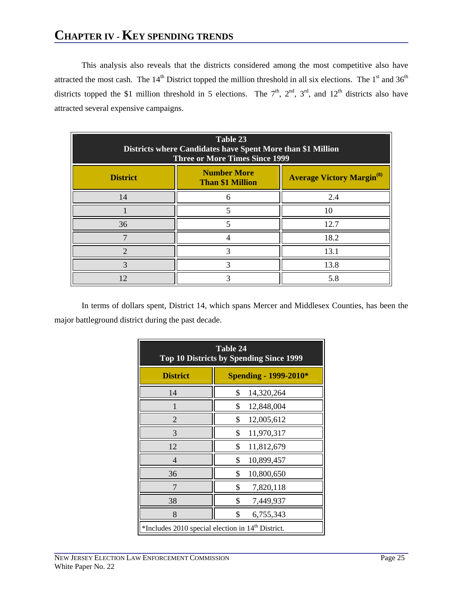## **CHAPTER IV - KEY SPENDING TRENDS**

This analysis also reveals that the districts considered among the most competitive also have attracted the most cash. The  $14<sup>th</sup>$  District topped the million threshold in all six elections. The  $1<sup>st</sup>$  and  $36<sup>th</sup>$ districts topped the \$1 million threshold in 5 elections. The  $7<sup>th</sup>$ ,  $2<sup>nd</sup>$ ,  $3<sup>rd</sup>$ , and  $12<sup>th</sup>$  districts also have attracted several expensive campaigns.

| Table 23<br>Districts where Candidates have Spent More than \$1 Million<br><b>Three or More Times Since 1999</b> |                                               |                                             |  |  |  |  |  |  |  |
|------------------------------------------------------------------------------------------------------------------|-----------------------------------------------|---------------------------------------------|--|--|--|--|--|--|--|
| <b>District</b>                                                                                                  | <b>Number More</b><br><b>Than \$1 Million</b> | <b>Average Victory Margin<sup>(8)</sup></b> |  |  |  |  |  |  |  |
| 14                                                                                                               | 6                                             | 2.4                                         |  |  |  |  |  |  |  |
|                                                                                                                  |                                               | 10                                          |  |  |  |  |  |  |  |
| 36                                                                                                               |                                               | 12.7                                        |  |  |  |  |  |  |  |
|                                                                                                                  |                                               | 18.2                                        |  |  |  |  |  |  |  |
|                                                                                                                  |                                               | 13.1                                        |  |  |  |  |  |  |  |
| ⌒                                                                                                                |                                               | 13.8                                        |  |  |  |  |  |  |  |
| 12                                                                                                               |                                               | 5.8                                         |  |  |  |  |  |  |  |

In terms of dollars spent, District 14, which spans Mercer and Middlesex Counties, has been the major battleground district during the past decade.

| Table 24<br><b>Top 10 Districts by Spending Since 1999</b>    |                              |  |  |  |  |  |
|---------------------------------------------------------------|------------------------------|--|--|--|--|--|
| <b>District</b>                                               | <b>Spending - 1999-2010*</b> |  |  |  |  |  |
| 14                                                            | \$<br>14,320,264             |  |  |  |  |  |
| 1                                                             | \$<br>12,848,004             |  |  |  |  |  |
| 2                                                             | \$<br>12,005,612             |  |  |  |  |  |
| 3                                                             | \$<br>11,970,317             |  |  |  |  |  |
| 12                                                            | \$<br>11,812,679             |  |  |  |  |  |
| 4                                                             | \$<br>10,899,457             |  |  |  |  |  |
| 36                                                            | \$<br>10,800,650             |  |  |  |  |  |
| 7                                                             | \$<br>7,820,118              |  |  |  |  |  |
| 38                                                            | \$<br>7,449,937              |  |  |  |  |  |
| 8                                                             | \$<br>6,755,343              |  |  |  |  |  |
| *Includes 2010 special election in 14 <sup>th</sup> District. |                              |  |  |  |  |  |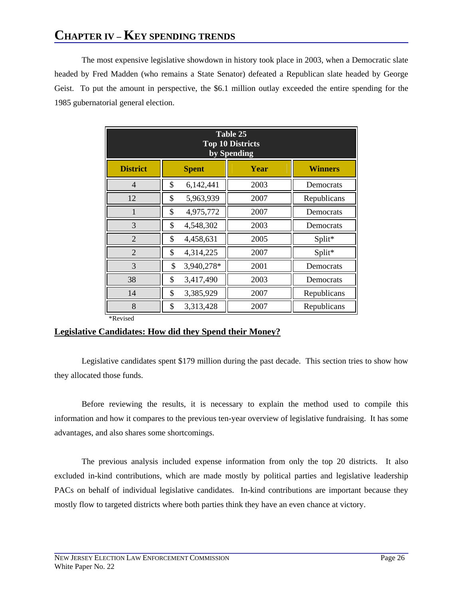# **CHAPTER IV – KEY SPENDING TRENDS**

The most expensive legislative showdown in history took place in 2003, when a Democratic slate headed by Fred Madden (who remains a State Senator) defeated a Republican slate headed by George Geist. To put the amount in perspective, the \$6.1 million outlay exceeded the entire spending for the 1985 gubernatorial general election.

| Table 25<br><b>Top 10 Districts</b><br>by Spending |                      |      |             |  |  |  |  |  |  |
|----------------------------------------------------|----------------------|------|-------------|--|--|--|--|--|--|
| <b>District</b>                                    | <b>Spent</b><br>Year |      |             |  |  |  |  |  |  |
| $\overline{4}$                                     | \$<br>6,142,441      | 2003 | Democrats   |  |  |  |  |  |  |
| 12                                                 | \$<br>5,963,939      | 2007 | Republicans |  |  |  |  |  |  |
| 1                                                  | \$<br>4,975,772      | 2007 | Democrats   |  |  |  |  |  |  |
| 3                                                  | \$<br>4,548,302      | 2003 | Democrats   |  |  |  |  |  |  |
| $\overline{2}$                                     | \$<br>4,458,631      | 2005 | Split*      |  |  |  |  |  |  |
| $\overline{2}$                                     | \$<br>4,314,225      | 2007 | Split*      |  |  |  |  |  |  |
| 3                                                  | \$<br>3,940,278*     | 2001 | Democrats   |  |  |  |  |  |  |
| 38                                                 | \$<br>3,417,490      | 2003 | Democrats   |  |  |  |  |  |  |
| 14                                                 | \$<br>3,385,929      | 2007 | Republicans |  |  |  |  |  |  |
| 8                                                  | \$<br>3,313,428      | 2007 | Republicans |  |  |  |  |  |  |

#### \*Revised

#### **Legislative Candidates: How did they Spend their Money?**

Legislative candidates spent \$179 million during the past decade. This section tries to show how they allocated those funds.

Before reviewing the results, it is necessary to explain the method used to compile this information and how it compares to the previous ten-year overview of legislative fundraising. It has some advantages, and also shares some shortcomings.

The previous analysis included expense information from only the top 20 districts. It also excluded in-kind contributions, which are made mostly by political parties and legislative leadership PACs on behalf of individual legislative candidates. In-kind contributions are important because they mostly flow to targeted districts where both parties think they have an even chance at victory.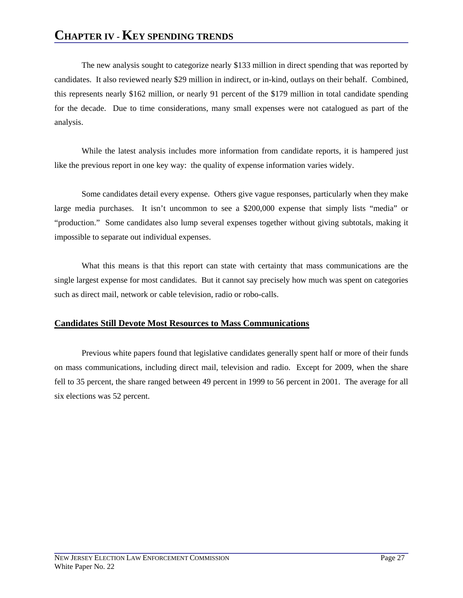### **CHAPTER IV - KEY SPENDING TRENDS**

The new analysis sought to categorize nearly \$133 million in direct spending that was reported by candidates. It also reviewed nearly \$29 million in indirect, or in-kind, outlays on their behalf. Combined, this represents nearly \$162 million, or nearly 91 percent of the \$179 million in total candidate spending for the decade. Due to time considerations, many small expenses were not catalogued as part of the analysis.

While the latest analysis includes more information from candidate reports, it is hampered just like the previous report in one key way: the quality of expense information varies widely.

Some candidates detail every expense. Others give vague responses, particularly when they make large media purchases. It isn't uncommon to see a \$200,000 expense that simply lists "media" or "production." Some candidates also lump several expenses together without giving subtotals, making it impossible to separate out individual expenses.

What this means is that this report can state with certainty that mass communications are the single largest expense for most candidates. But it cannot say precisely how much was spent on categories such as direct mail, network or cable television, radio or robo-calls.

#### **Candidates Still Devote Most Resources to Mass Communications**

Previous white papers found that legislative candidates generally spent half or more of their funds on mass communications, including direct mail, television and radio. Except for 2009, when the share fell to 35 percent, the share ranged between 49 percent in 1999 to 56 percent in 2001. The average for all six elections was 52 percent.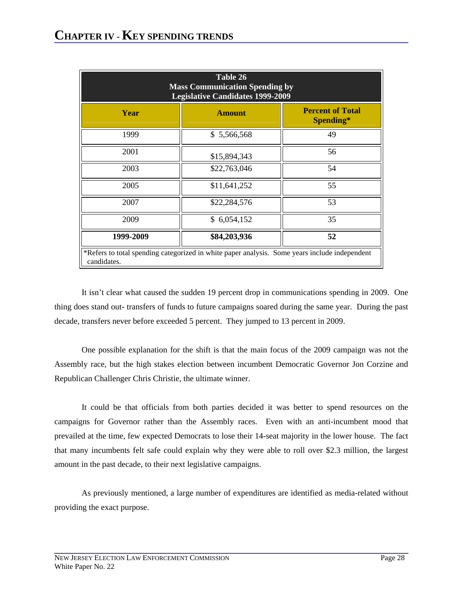| Table 26<br><b>Mass Communication Spending by</b><br><b>Legislative Candidates 1999-2009</b>                 |                                                       |    |  |  |  |  |  |  |
|--------------------------------------------------------------------------------------------------------------|-------------------------------------------------------|----|--|--|--|--|--|--|
| Year                                                                                                         | <b>Percent of Total</b><br><b>Amount</b><br>Spending* |    |  |  |  |  |  |  |
| 1999                                                                                                         | \$5,566,568                                           | 49 |  |  |  |  |  |  |
| 2001                                                                                                         | \$15,894,343                                          | 56 |  |  |  |  |  |  |
| 2003                                                                                                         | \$22,763,046                                          | 54 |  |  |  |  |  |  |
| 2005                                                                                                         | \$11,641,252                                          | 55 |  |  |  |  |  |  |
| 2007                                                                                                         | \$22,284,576                                          | 53 |  |  |  |  |  |  |
| 2009                                                                                                         | \$6,054,152                                           | 35 |  |  |  |  |  |  |
| 52<br>1999-2009<br>\$84,203,936                                                                              |                                                       |    |  |  |  |  |  |  |
| *Refers to total spending categorized in white paper analysis. Some years include independent<br>candidates. |                                                       |    |  |  |  |  |  |  |

It isn't clear what caused the sudden 19 percent drop in communications spending in 2009. One thing does stand out- transfers of funds to future campaigns soared during the same year. During the past decade, transfers never before exceeded 5 percent. They jumped to 13 percent in 2009.

One possible explanation for the shift is that the main focus of the 2009 campaign was not the Assembly race, but the high stakes election between incumbent Democratic Governor Jon Corzine and Republican Challenger Chris Christie, the ultimate winner.

It could be that officials from both parties decided it was better to spend resources on the campaigns for Governor rather than the Assembly races. Even with an anti-incumbent mood that prevailed at the time, few expected Democrats to lose their 14-seat majority in the lower house. The fact that many incumbents felt safe could explain why they were able to roll over \$2.3 million, the largest amount in the past decade, to their next legislative campaigns.

As previously mentioned, a large number of expenditures are identified as media-related without providing the exact purpose.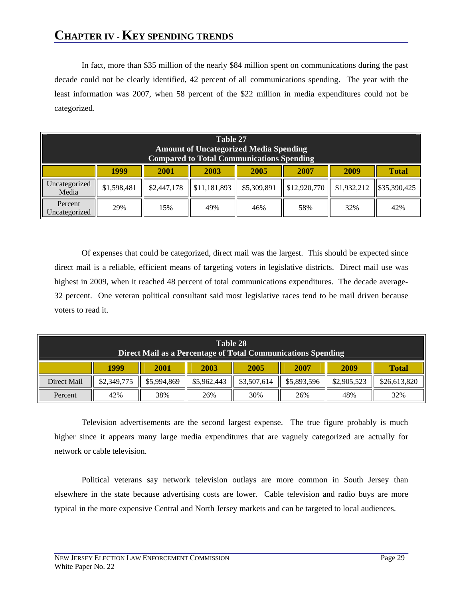# **CHAPTER IV - KEY SPENDING TRENDS**

In fact, more than \$35 million of the nearly \$84 million spent on communications during the past decade could not be clearly identified, 42 percent of all communications spending. The year with the least information was 2007, when 58 percent of the \$22 million in media expenditures could not be categorized.

| Table 27<br><b>Amount of Uncategorized Media Spending</b><br><b>Compared to Total Communications Spending</b> |             |             |              |             |              |             |              |  |
|---------------------------------------------------------------------------------------------------------------|-------------|-------------|--------------|-------------|--------------|-------------|--------------|--|
|                                                                                                               | 1999        | 2001        | 2003         | 2005        | 2007         | 2009        | <b>Total</b> |  |
| Uncategorized<br>Media                                                                                        | \$1,598,481 | \$2,447,178 | \$11,181,893 | \$5,309,891 | \$12,920,770 | \$1,932,212 | \$35,390,425 |  |
| Percent<br>Uncategorized                                                                                      | 29%         | 15%         | 49%          | 46%         | 58%          | 32%         | 42%          |  |

Of expenses that could be categorized, direct mail was the largest. This should be expected since direct mail is a reliable, efficient means of targeting voters in legislative districts. Direct mail use was highest in 2009, when it reached 48 percent of total communications expenditures. The decade average-32 percent. One veteran political consultant said most legislative races tend to be mail driven because voters to read it.

| Table 28<br>Direct Mail as a Percentage of Total Communications Spending |             |             |             |             |             |             |              |  |
|--------------------------------------------------------------------------|-------------|-------------|-------------|-------------|-------------|-------------|--------------|--|
|                                                                          | 1999        | 2001        | 2003        | 2005        | 2007        | 2009        | <b>Total</b> |  |
| Direct Mail                                                              | \$2,349,775 | \$5,994,869 | \$5,962,443 | \$3,507,614 | \$5,893,596 | \$2,905,523 | \$26,613,820 |  |
| Percent                                                                  | 42%         | 38%         | 26%         | 30%         | 26%         | 48%         | 32%          |  |

Television advertisements are the second largest expense. The true figure probably is much higher since it appears many large media expenditures that are vaguely categorized are actually for network or cable television.

Political veterans say network television outlays are more common in South Jersey than elsewhere in the state because advertising costs are lower. Cable television and radio buys are more typical in the more expensive Central and North Jersey markets and can be targeted to local audiences.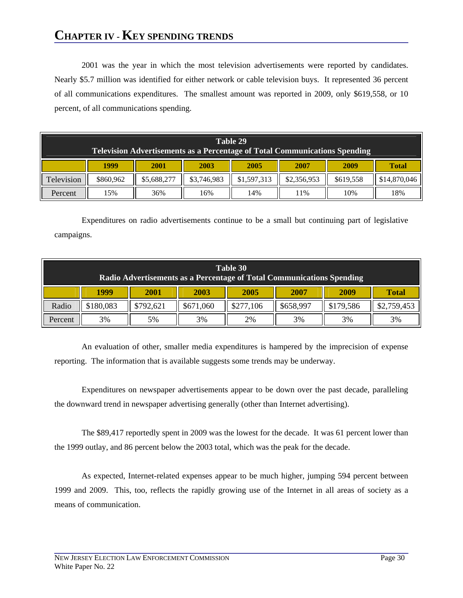# **CHAPTER IV - KEY SPENDING TRENDS**

2001 was the year in which the most television advertisements were reported by candidates. Nearly \$5.7 million was identified for either network or cable television buys. It represented 36 percent of all communications expenditures. The smallest amount was reported in 2009, only \$619,558, or 10 percent, of all communications spending.

| Table 29<br><b>Television Advertisements as a Percentage of Total Communications Spending</b> |           |             |             |             |             |           |              |  |  |
|-----------------------------------------------------------------------------------------------|-----------|-------------|-------------|-------------|-------------|-----------|--------------|--|--|
|                                                                                               | 1999      | 2001        | 2003        | 2005        | 2007        | 2009      | <b>Total</b> |  |  |
| Television                                                                                    | \$860,962 | \$5,688,277 | \$3,746,983 | \$1,597,313 | \$2,356,953 | \$619,558 | \$14,870,046 |  |  |
| Percent                                                                                       | 15%       | 36%         | 16%         | 14%         | 11%         | 10%       | 18%          |  |  |

Expenditures on radio advertisements continue to be a small but continuing part of legislative campaigns.

| Table 30<br>Radio Advertisements as a Percentage of Total Communications Spending |           |                                                      |           |           |           |           |             |  |  |  |
|-----------------------------------------------------------------------------------|-----------|------------------------------------------------------|-----------|-----------|-----------|-----------|-------------|--|--|--|
|                                                                                   | 1999      | 2009<br>2003<br>2005<br>2007<br>2001<br><b>Total</b> |           |           |           |           |             |  |  |  |
| Radio                                                                             | \$180,083 | \$792,621                                            | \$671,060 | \$277,106 | \$658,997 | \$179,586 | \$2,759,453 |  |  |  |
| Percent                                                                           | 3%        | 5%                                                   | 3%        | 2%        | 3%        | 3%        | 3%          |  |  |  |

An evaluation of other, smaller media expenditures is hampered by the imprecision of expense reporting. The information that is available suggests some trends may be underway.

Expenditures on newspaper advertisements appear to be down over the past decade, paralleling the downward trend in newspaper advertising generally (other than Internet advertising).

The \$89,417 reportedly spent in 2009 was the lowest for the decade. It was 61 percent lower than the 1999 outlay, and 86 percent below the 2003 total, which was the peak for the decade.

As expected, Internet-related expenses appear to be much higher, jumping 594 percent between 1999 and 2009. This, too, reflects the rapidly growing use of the Internet in all areas of society as a means of communication.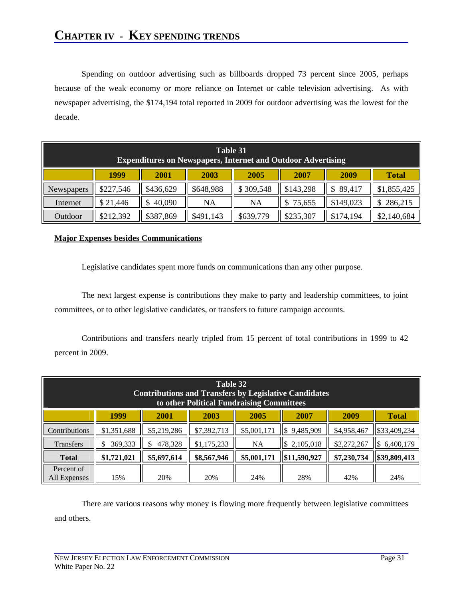Spending on outdoor advertising such as billboards dropped 73 percent since 2005, perhaps because of the weak economy or more reliance on Internet or cable television advertising. As with newspaper advertising, the \$174,194 total reported in 2009 for outdoor advertising was the lowest for the decade.

| Table 31<br><b>Expenditures on Newspapers, Internet and Outdoor Advertising</b> |                                                              |           |           |           |              |           |             |  |  |  |
|---------------------------------------------------------------------------------|--------------------------------------------------------------|-----------|-----------|-----------|--------------|-----------|-------------|--|--|--|
|                                                                                 | 1999<br>2009<br>2003<br>2005<br>2007<br>2001<br><b>Total</b> |           |           |           |              |           |             |  |  |  |
| Newspapers                                                                      | \$227,546                                                    | \$436,629 | \$648,988 | \$309,548 | \$143,298    | 89,417    | \$1,855,425 |  |  |  |
| Internet                                                                        | \$21,446                                                     | 40,090    | <b>NA</b> | NA        | 75,655<br>\$ | \$149,023 | 286,215     |  |  |  |
| Outdoor                                                                         | \$212,392                                                    | \$387,869 | \$491,143 | \$639,779 | \$235,307    | \$174,194 | \$2,140,684 |  |  |  |

#### **Major Expenses besides Communications**

Legislative candidates spent more funds on communications than any other purpose.

The next largest expense is contributions they make to party and leadership committees, to joint committees, or to other legislative candidates, or transfers to future campaign accounts.

Contributions and transfers nearly tripled from 15 percent of total contributions in 1999 to 42 percent in 2009.

|                            | Table 32<br><b>Contributions and Transfers by Legislative Candidates</b><br>to other Political Fundraising Committees |             |             |             |                  |             |                |  |  |  |  |
|----------------------------|-----------------------------------------------------------------------------------------------------------------------|-------------|-------------|-------------|------------------|-------------|----------------|--|--|--|--|
|                            | 1999                                                                                                                  | 2001        | 2003        | 2005        | 2007             | 2009        | <b>Total</b>   |  |  |  |  |
| Contributions              | \$1,351,688                                                                                                           | \$5,219,286 | \$7,392,713 | \$5,001,171 | 9,485,909<br>S   | \$4,958,467 | \$33,409,234   |  |  |  |  |
| <b>Transfers</b>           | 369,333                                                                                                               | 478,328     | \$1,175,233 | NA          | 2,105,018<br>1\$ | \$2,272,267 | 6,400,179<br>S |  |  |  |  |
| <b>Total</b>               | \$1,721,021                                                                                                           | \$5,697,614 | \$8,567,946 | \$5,001,171 | \$11,590,927     | \$7,230,734 | \$39,809,413   |  |  |  |  |
| Percent of<br>All Expenses | 15%                                                                                                                   | 20%         | 20%         | 24%         | 28%              | 42%         | 24%            |  |  |  |  |

There are various reasons why money is flowing more frequently between legislative committees and others.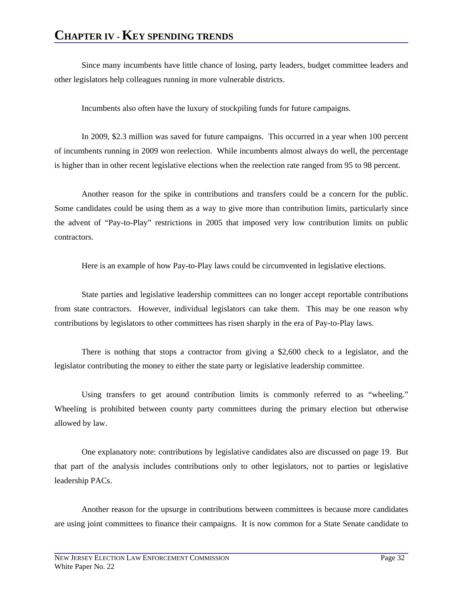Since many incumbents have little chance of losing, party leaders, budget committee leaders and other legislators help colleagues running in more vulnerable districts.

Incumbents also often have the luxury of stockpiling funds for future campaigns.

In 2009, \$2.3 million was saved for future campaigns. This occurred in a year when 100 percent of incumbents running in 2009 won reelection. While incumbents almost always do well, the percentage is higher than in other recent legislative elections when the reelection rate ranged from 95 to 98 percent.

Another reason for the spike in contributions and transfers could be a concern for the public. Some candidates could be using them as a way to give more than contribution limits, particularly since the advent of "Pay-to-Play" restrictions in 2005 that imposed very low contribution limits on public contractors.

Here is an example of how Pay-to-Play laws could be circumvented in legislative elections.

State parties and legislative leadership committees can no longer accept reportable contributions from state contractors. However, individual legislators can take them. This may be one reason why contributions by legislators to other committees has risen sharply in the era of Pay-to-Play laws.

There is nothing that stops a contractor from giving a \$2,600 check to a legislator, and the legislator contributing the money to either the state party or legislative leadership committee.

Using transfers to get around contribution limits is commonly referred to as "wheeling." Wheeling is prohibited between county party committees during the primary election but otherwise allowed by law.

One explanatory note: contributions by legislative candidates also are discussed on page 19. But that part of the analysis includes contributions only to other legislators, not to parties or legislative leadership PACs.

Another reason for the upsurge in contributions between committees is because more candidates are using joint committees to finance their campaigns. It is now common for a State Senate candidate to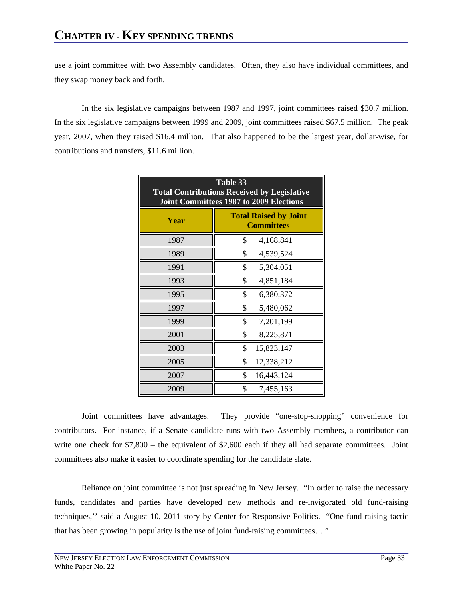use a joint committee with two Assembly candidates. Often, they also have individual committees, and they swap money back and forth.

In the six legislative campaigns between 1987 and 1997, joint committees raised \$30.7 million. In the six legislative campaigns between 1999 and 2009, joint committees raised \$67.5 million. The peak year, 2007, when they raised \$16.4 million. That also happened to be the largest year, dollar-wise, for contributions and transfers, \$11.6 million.

| Table 33<br><b>Total Contributions Received by Legislative</b><br><b>Joint Committees 1987 to 2009 Elections</b> |                                                   |  |  |  |  |  |  |  |  |
|------------------------------------------------------------------------------------------------------------------|---------------------------------------------------|--|--|--|--|--|--|--|--|
| Year                                                                                                             | <b>Total Raised by Joint</b><br><b>Committees</b> |  |  |  |  |  |  |  |  |
| 1987                                                                                                             | \$<br>4,168,841                                   |  |  |  |  |  |  |  |  |
| 1989                                                                                                             | \$<br>4,539,524                                   |  |  |  |  |  |  |  |  |
| 1991                                                                                                             | \$<br>5,304,051                                   |  |  |  |  |  |  |  |  |
| 1993                                                                                                             | \$<br>4,851,184                                   |  |  |  |  |  |  |  |  |
| 1995                                                                                                             | \$<br>6,380,372                                   |  |  |  |  |  |  |  |  |
| 1997                                                                                                             | \$<br>5,480,062                                   |  |  |  |  |  |  |  |  |
| 1999                                                                                                             | \$<br>7,201,199                                   |  |  |  |  |  |  |  |  |
| 2001                                                                                                             | \$<br>8,225,871                                   |  |  |  |  |  |  |  |  |
| 2003                                                                                                             | \$<br>15,823,147                                  |  |  |  |  |  |  |  |  |
| 2005                                                                                                             | \$<br>12,338,212                                  |  |  |  |  |  |  |  |  |
| 2007                                                                                                             | \$<br>16,443,124                                  |  |  |  |  |  |  |  |  |
| 2009                                                                                                             | \$<br>7,455,163                                   |  |  |  |  |  |  |  |  |

Joint committees have advantages. They provide "one-stop-shopping" convenience for contributors. For instance, if a Senate candidate runs with two Assembly members, a contributor can write one check for  $$7,800 -$  the equivalent of \$2,600 each if they all had separate committees. Joint committees also make it easier to coordinate spending for the candidate slate.

Reliance on joint committee is not just spreading in New Jersey. "In order to raise the necessary funds, candidates and parties have developed new methods and re-invigorated old fund-raising techniques,'' said a August 10, 2011 story by Center for Responsive Politics. "One fund-raising tactic that has been growing in popularity is the use of joint fund-raising committees…."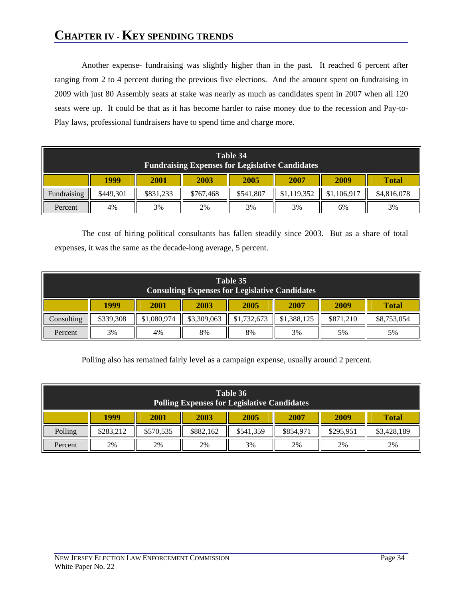# **CHAPTER IV - KEY SPENDING TRENDS**

Another expense- fundraising was slightly higher than in the past. It reached 6 percent after ranging from 2 to 4 percent during the previous five elections. And the amount spent on fundraising in 2009 with just 80 Assembly seats at stake was nearly as much as candidates spent in 2007 when all 120 seats were up. It could be that as it has become harder to raise money due to the recession and Pay-to-Play laws, professional fundraisers have to spend time and charge more.

| Table 34<br><b>Fundraising Expenses for Legislative Candidates</b> |                                                              |           |           |           |             |             |             |  |  |  |
|--------------------------------------------------------------------|--------------------------------------------------------------|-----------|-----------|-----------|-------------|-------------|-------------|--|--|--|
|                                                                    | 1999<br>2001<br>2003<br>2005<br>2007<br>2009<br><b>Total</b> |           |           |           |             |             |             |  |  |  |
| Fundraising                                                        | \$449,301                                                    | \$831,233 | \$767,468 | \$541,807 | \$1,119,352 | \$1,106,917 | \$4,816,078 |  |  |  |
| Percent                                                            | 4%                                                           | 3%        | 2%        | 3%        | 3%          | 6%          | 3%          |  |  |  |

The cost of hiring political consultants has fallen steadily since 2003. But as a share of total expenses, it was the same as the decade-long average, 5 percent.

| Table 35<br><b>Consulting Expenses for Legislative Candidates</b> |           |                                               |             |             |             |           |             |  |  |  |
|-------------------------------------------------------------------|-----------|-----------------------------------------------|-------------|-------------|-------------|-----------|-------------|--|--|--|
|                                                                   | 1999      | 2001<br>2003<br>2005<br>2007<br>2009<br>Total |             |             |             |           |             |  |  |  |
| Consulting                                                        | \$339,308 | \$1,080,974                                   | \$3,309,063 | \$1,732,673 | \$1,388,125 | \$871.210 | \$8,753,054 |  |  |  |
| Percent                                                           | 3%        | 4%                                            | 8%          | 8%          | 3%          | 5%        | 5%          |  |  |  |

Polling also has remained fairly level as a campaign expense, usually around 2 percent.

| Table 36<br><b>Polling Expenses for Legislative Candidates</b> |                                                                                           |    |    |    |    |    |    |  |  |  |
|----------------------------------------------------------------|-------------------------------------------------------------------------------------------|----|----|----|----|----|----|--|--|--|
|                                                                | 1999<br>2005<br>2003<br>2007<br>2001<br>2009<br><b>Total</b>                              |    |    |    |    |    |    |  |  |  |
| Polling                                                        | \$854,971<br>\$882,162<br>\$541,359<br>\$295.951<br>\$3,428,189<br>\$283,212<br>\$570,535 |    |    |    |    |    |    |  |  |  |
| Percent                                                        | 2%                                                                                        | 2% | 2% | 3% | 2% | 2% | 2% |  |  |  |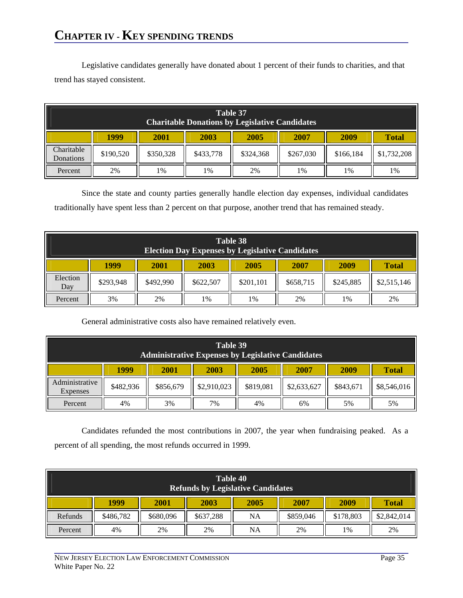# **CHAPTER IV - KEY SPENDING TRENDS**

Legislative candidates generally have donated about 1 percent of their funds to charities, and that trend has stayed consistent.

|                         | Table 37<br><b>Charitable Donations by Legislative Candidates</b> |                                  |           |           |           |           |             |  |  |  |  |
|-------------------------|-------------------------------------------------------------------|----------------------------------|-----------|-----------|-----------|-----------|-------------|--|--|--|--|
|                         | 1999<br>2003<br>2005<br>2007<br>2001<br>2009<br><b>Total</b>      |                                  |           |           |           |           |             |  |  |  |  |
| Charitable<br>Donations | \$190,520                                                         | \$350,328                        | \$433,778 | \$324,368 | \$267,030 | \$166,184 | \$1,732,208 |  |  |  |  |
| Percent                 | 2%                                                                | 2%<br>1%<br>1%<br>1%<br>1%<br>1% |           |           |           |           |             |  |  |  |  |

Since the state and county parties generally handle election day expenses, individual candidates traditionally have spent less than 2 percent on that purpose, another trend that has remained steady.

|                 | Table 38<br><b>Election Day Expenses by Legislative Candidates</b> |                                                             |           |           |           |           |             |  |  |  |  |
|-----------------|--------------------------------------------------------------------|-------------------------------------------------------------|-----------|-----------|-----------|-----------|-------------|--|--|--|--|
|                 | 1999                                                               | 2003<br>2005<br>2007<br>2009<br><b>2001</b><br><b>Total</b> |           |           |           |           |             |  |  |  |  |
| Election<br>Day | \$293,948                                                          | \$492,990                                                   | \$622,507 | \$201,101 | \$658,715 | \$245,885 | \$2,515,146 |  |  |  |  |
| Percent         | 3%                                                                 | 2%                                                          | 1%        | 1%        | 2%        | 1%        | 2%          |  |  |  |  |

General administrative costs also have remained relatively even.

| Table 39<br><b>Administrative Expenses by Legislative Candidates</b> |           |           |             |           |             |           |              |  |  |  |
|----------------------------------------------------------------------|-----------|-----------|-------------|-----------|-------------|-----------|--------------|--|--|--|
|                                                                      | 1999      | 2001      | 2003        | 2005      | 2007        | 2009      | <b>Total</b> |  |  |  |
| Administrative<br>Expenses                                           | \$482,936 | \$856,679 | \$2,910,023 | \$819,081 | \$2,633,627 | \$843,671 | \$8,546,016  |  |  |  |
| Percent                                                              | 4%        | 3%        | 7%          | 4%        | 6%          | 5%        | 5%           |  |  |  |

Candidates refunded the most contributions in 2007, the year when fundraising peaked. As a percent of all spending, the most refunds occurred in 1999.

| Table 40<br><b>Refunds by Legislative Candidates</b> |           |           |           |      |           |           |              |  |  |  |
|------------------------------------------------------|-----------|-----------|-----------|------|-----------|-----------|--------------|--|--|--|
|                                                      | 1999      | 2001      | 2003      | 2005 | 2007      | 2009      | <b>Total</b> |  |  |  |
| Refunds                                              | \$486,782 | \$680,096 | \$637,288 | NA   | \$859,046 | \$178,803 | \$2,842,014  |  |  |  |
| Percent                                              | 4%        | 2%        | 2%        | NA   | 2%        | 1%        | 2%           |  |  |  |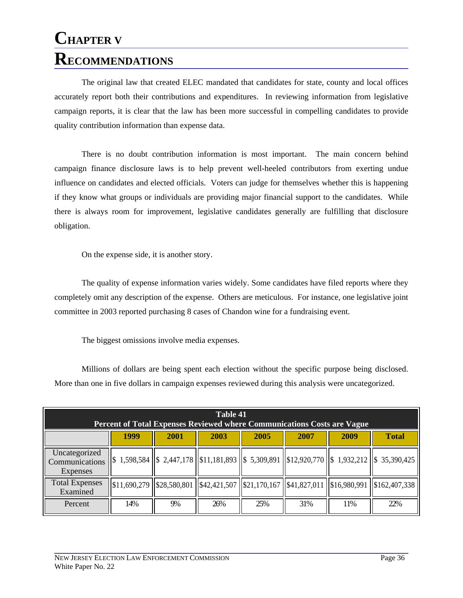# **CHAPTER V RECOMMENDATIONS**

The original law that created ELEC mandated that candidates for state, county and local offices accurately report both their contributions and expenditures. In reviewing information from legislative campaign reports, it is clear that the law has been more successful in compelling candidates to provide quality contribution information than expense data.

There is no doubt contribution information is most important. The main concern behind campaign finance disclosure laws is to help prevent well-heeled contributors from exerting undue influence on candidates and elected officials. Voters can judge for themselves whether this is happening if they know what groups or individuals are providing major financial support to the candidates. While there is always room for improvement, legislative candidates generally are fulfilling that disclosure obligation.

On the expense side, it is another story.

The quality of expense information varies widely. Some candidates have filed reports where they completely omit any description of the expense. Others are meticulous. For instance, one legislative joint committee in 2003 reported purchasing 8 cases of Chandon wine for a fundraising event.

The biggest omissions involve media expenses.

Millions of dollars are being spent each election without the specific purpose being disclosed. More than one in five dollars in campaign expenses reviewed during this analysis were uncategorized.

| Table 41<br><b>Percent of Total Expenses Reviewed where Communications Costs are Vague</b> |              |      |      |                                                                                                     |      |      |                                                                                                                                |  |
|--------------------------------------------------------------------------------------------|--------------|------|------|-----------------------------------------------------------------------------------------------------|------|------|--------------------------------------------------------------------------------------------------------------------------------|--|
|                                                                                            | 1999         | 2001 | 2003 | 2005                                                                                                | 2007 | 2009 | <b>Total</b>                                                                                                                   |  |
| Uncategorized<br>Communications<br>Expenses                                                |              |      |      |                                                                                                     |      |      | $\ $ \$ 1,598,584 $\ $ \$ 2,447,178 $\ $ \$11,181,893 $\ $ \$ 5,309,891 $\ $ \$12,920,770 $\ $ \$ 1,932,212 $\ $ \$ 35,390,425 |  |
| <b>Total Expenses</b><br>Examined                                                          | \$11,690,279 |      |      | $\left  \frac{\$28,580,801}{\$42,421,507} \right  \left  \frac{\$21,170,167}{\$41,827,011} \right $ |      |      | $\left  \frac{$16,980,991}{15162,407,338} \right $                                                                             |  |
| Percent                                                                                    | 14%          | 9%   | 26%  | 25%                                                                                                 | 31%  | 11\% | 22%                                                                                                                            |  |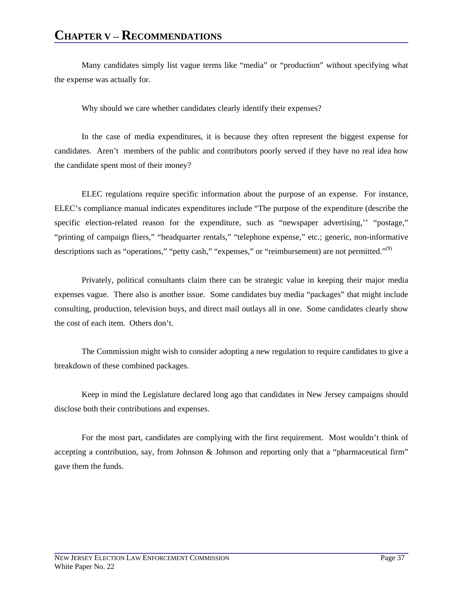Many candidates simply list vague terms like "media" or "production" without specifying what the expense was actually for.

Why should we care whether candidates clearly identify their expenses?

In the case of media expenditures, it is because they often represent the biggest expense for candidates. Aren't members of the public and contributors poorly served if they have no real idea how the candidate spent most of their money?

ELEC regulations require specific information about the purpose of an expense. For instance, ELEC's compliance manual indicates expenditures include "The purpose of the expenditure (describe the specific election-related reason for the expenditure, such as "newspaper advertising,'' "postage," "printing of campaign fliers," "headquarter rentals," "telephone expense," etc.; generic, non-informative descriptions such as "operations," "petty cash," "expenses," or "reimbursement) are not permitted."<sup>(9)</sup>

Privately, political consultants claim there can be strategic value in keeping their major media expenses vague. There also is another issue. Some candidates buy media "packages" that might include consulting, production, television buys, and direct mail outlays all in one. Some candidates clearly show the cost of each item. Others don't.

The Commission might wish to consider adopting a new regulation to require candidates to give a breakdown of these combined packages.

Keep in mind the Legislature declared long ago that candidates in New Jersey campaigns should disclose both their contributions and expenses.

For the most part, candidates are complying with the first requirement. Most wouldn't think of accepting a contribution, say, from Johnson & Johnson and reporting only that a "pharmaceutical firm" gave them the funds.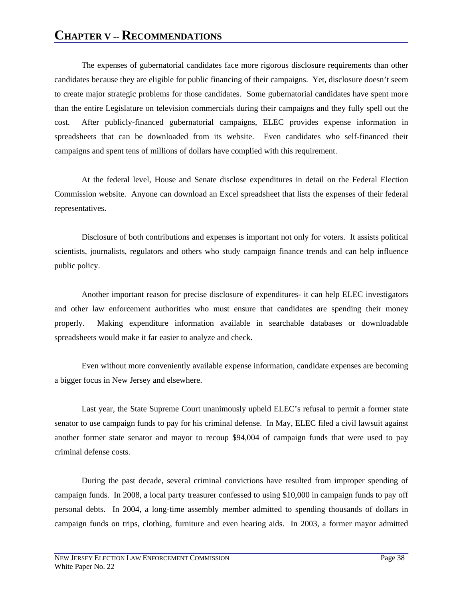The expenses of gubernatorial candidates face more rigorous disclosure requirements than other candidates because they are eligible for public financing of their campaigns. Yet, disclosure doesn't seem to create major strategic problems for those candidates. Some gubernatorial candidates have spent more than the entire Legislature on television commercials during their campaigns and they fully spell out the cost. After publicly-financed gubernatorial campaigns, ELEC provides expense information in spreadsheets that can be downloaded from its website. Even candidates who self-financed their campaigns and spent tens of millions of dollars have complied with this requirement.

At the federal level, House and Senate disclose expenditures in detail on the Federal Election Commission website. Anyone can download an Excel spreadsheet that lists the expenses of their federal representatives.

Disclosure of both contributions and expenses is important not only for voters. It assists political scientists, journalists, regulators and others who study campaign finance trends and can help influence public policy.

Another important reason for precise disclosure of expenditures- it can help ELEC investigators and other law enforcement authorities who must ensure that candidates are spending their money properly. Making expenditure information available in searchable databases or downloadable spreadsheets would make it far easier to analyze and check.

Even without more conveniently available expense information, candidate expenses are becoming a bigger focus in New Jersey and elsewhere.

Last year, the State Supreme Court unanimously upheld ELEC's refusal to permit a former state senator to use campaign funds to pay for his criminal defense. In May, ELEC filed a civil lawsuit against another former state senator and mayor to recoup \$94,004 of campaign funds that were used to pay criminal defense costs.

During the past decade, several criminal convictions have resulted from improper spending of campaign funds. In 2008, a local party treasurer confessed to using \$10,000 in campaign funds to pay off personal debts. In 2004, a long-time assembly member admitted to spending thousands of dollars in campaign funds on trips, clothing, furniture and even hearing aids. In 2003, a former mayor admitted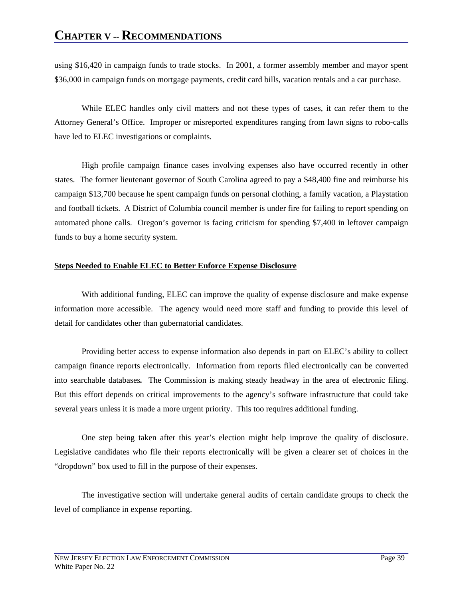using \$16,420 in campaign funds to trade stocks. In 2001, a former assembly member and mayor spent \$36,000 in campaign funds on mortgage payments, credit card bills, vacation rentals and a car purchase.

While ELEC handles only civil matters and not these types of cases, it can refer them to the Attorney General's Office. Improper or misreported expenditures ranging from lawn signs to robo-calls have led to ELEC investigations or complaints.

High profile campaign finance cases involving expenses also have occurred recently in other states. The former lieutenant governor of South Carolina agreed to pay a \$48,400 fine and reimburse his campaign \$13,700 because he spent campaign funds on personal clothing, a family vacation, a Playstation and football tickets. A District of Columbia council member is under fire for failing to report spending on automated phone calls. Oregon's governor is facing criticism for spending \$7,400 in leftover campaign funds to buy a home security system.

#### **Steps Needed to Enable ELEC to Better Enforce Expense Disclosure**

With additional funding, ELEC can improve the quality of expense disclosure and make expense information more accessible. The agency would need more staff and funding to provide this level of detail for candidates other than gubernatorial candidates.

Providing better access to expense information also depends in part on ELEC's ability to collect campaign finance reports electronically. Information from reports filed electronically can be converted into searchable databases*.* The Commission is making steady headway in the area of electronic filing. But this effort depends on critical improvements to the agency's software infrastructure that could take several years unless it is made a more urgent priority. This too requires additional funding.

One step being taken after this year's election might help improve the quality of disclosure. Legislative candidates who file their reports electronically will be given a clearer set of choices in the "dropdown" box used to fill in the purpose of their expenses.

The investigative section will undertake general audits of certain candidate groups to check the level of compliance in expense reporting.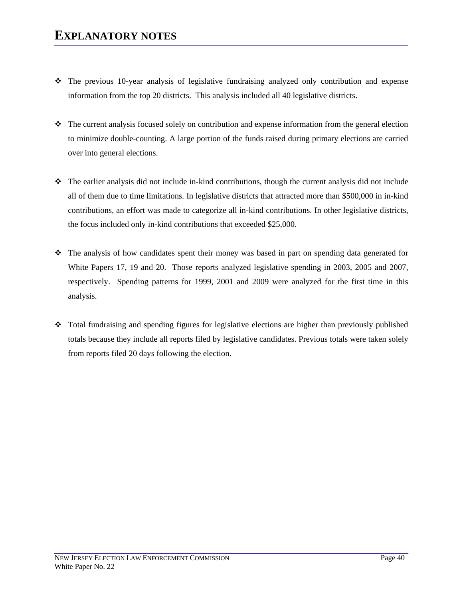- The previous 10-year analysis of legislative fundraising analyzed only contribution and expense information from the top 20 districts. This analysis included all 40 legislative districts.
- The current analysis focused solely on contribution and expense information from the general election to minimize double-counting. A large portion of the funds raised during primary elections are carried over into general elections.
- The earlier analysis did not include in-kind contributions, though the current analysis did not include all of them due to time limitations. In legislative districts that attracted more than \$500,000 in in-kind contributions, an effort was made to categorize all in-kind contributions. In other legislative districts, the focus included only in-kind contributions that exceeded \$25,000.
- The analysis of how candidates spent their money was based in part on spending data generated for White Papers 17, 19 and 20. Those reports analyzed legislative spending in 2003, 2005 and 2007, respectively. Spending patterns for 1999, 2001 and 2009 were analyzed for the first time in this analysis.
- Total fundraising and spending figures for legislative elections are higher than previously published totals because they include all reports filed by legislative candidates. Previous totals were taken solely from reports filed 20 days following the election.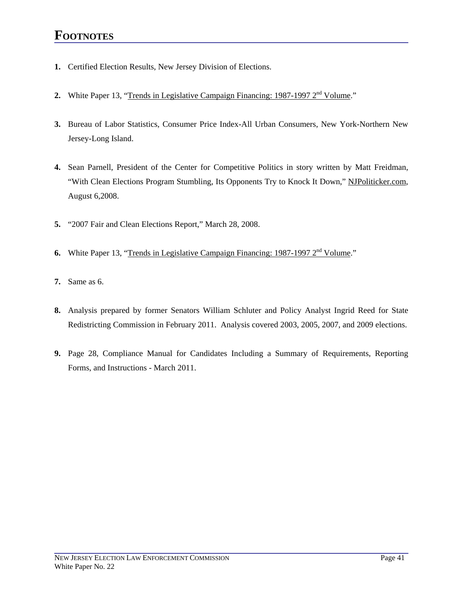### **FOOTNOTES**

- **1.** Certified Election Results, New Jersey Division of Elections.
- **2.** White Paper 13, "Trends in Legislative Campaign Financing: 1987-1997 2<sup>nd</sup> Volume."
- **3.** Bureau of Labor Statistics, Consumer Price Index-All Urban Consumers, New York-Northern New Jersey-Long Island.
- **4.** Sean Parnell, President of the Center for Competitive Politics in story written by Matt Freidman, "With Clean Elections Program Stumbling, Its Opponents Try to Knock It Down," NJPoliticker.com, August 6,2008.
- **5.** "2007 Fair and Clean Elections Report," March 28, 2008.
- **6.** White Paper 13, "Trends in Legislative Campaign Financing: 1987-1997 2<sup>nd</sup> Volume."
- **7.** Same as 6.
- **8.** Analysis prepared by former Senators William Schluter and Policy Analyst Ingrid Reed for State Redistricting Commission in February 2011. Analysis covered 2003, 2005, 2007, and 2009 elections.
- **9.** Page 28, Compliance Manual for Candidates Including a Summary of Requirements, Reporting Forms, and Instructions - March 2011.